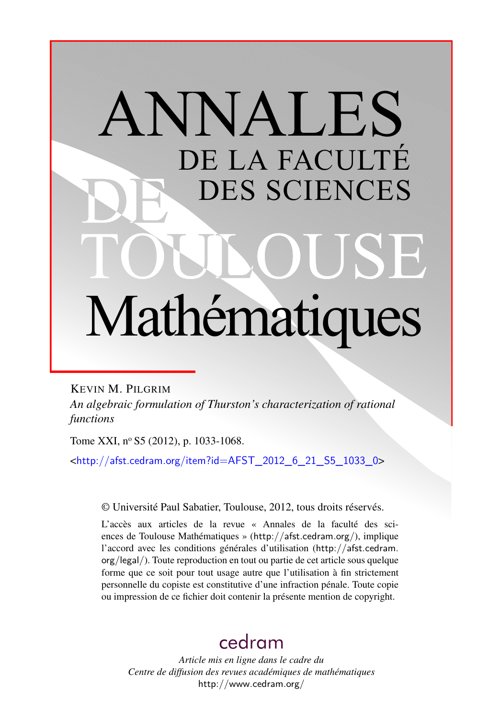# ANNALES DE LA FACULTÉ DES SCIENCES Mathématiques

KEVIN M. PILGRIM *An algebraic formulation of Thurston's characterization of rational functions*

Tome XXI, nº S5 (2012), p. 1033-1068.

<[http://afst.cedram.org/item?id=AFST\\_2012\\_6\\_21\\_S5\\_1033\\_0](http://afst.cedram.org/item?id=AFST_2012_6_21_S5_1033_0)>

© Université Paul Sabatier, Toulouse, 2012, tous droits réservés.

L'accès aux articles de la revue « Annales de la faculté des sciences de Toulouse Mathématiques » (<http://afst.cedram.org/>), implique l'accord avec les conditions générales d'utilisation ([http://afst.cedram.](http://afst.cedram.org/legal/) [org/legal/](http://afst.cedram.org/legal/)). Toute reproduction en tout ou partie de cet article sous quelque forme que ce soit pour tout usage autre que l'utilisation à fin strictement personnelle du copiste est constitutive d'une infraction pénale. Toute copie ou impression de ce fichier doit contenir la présente mention de copyright.

# [cedram](http://www.cedram.org/)

*Article mis en ligne dans le cadre du Centre de diffusion des revues académiques de mathématiques* <http://www.cedram.org/>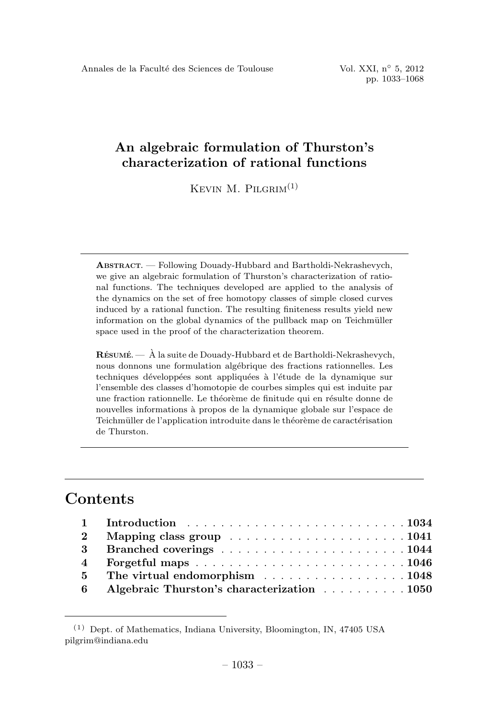KEVIN M. PILGRIM $<sup>(1)</sup>$ </sup>

ABSTRACT. —Following Douady-Hubbard and Bartholdi-Nekrashevych, we give an algebraic formulation of Thurston's characterization of rational functions. The techniques developed are applied to the analysis of the dynamics on the set of free homotopy classes of simple closed curves induced by a rational function. The resulting finiteness results yield new information on the global dynamics of the pullback map on Teichmüller space used in the proof of the characterization theorem.

 $\mathbf{R}$ ÉSUMÉ.  $\mathbf{A}$  la suite de Douady-Hubbard et de Bartholdi-Nekrashevych, nous donnons une formulation algébrique des fractions rationnelles. Les techniques développées sont appliquées à l'étude de la dynamique sur l'ensemble des classes d'homotopie de courbes simples qui est induite par une fraction rationnelle. Le théorème de finitude qui en résulte donne de nouvelles informations `a propos de la dynamique globale sur l'espace de Teichmüller de l'application introduite dans le théorème de caractérisation de Thurston.

# **Contents**

| $\overline{4}$ |                                            |
|----------------|--------------------------------------------|
|                | 5 The virtual endomorphism 1048            |
| 6              | Algebraic Thurston's characterization 1050 |

<sup>(1)</sup> Dept. of Mathematics, Indiana University, Bloomington, IN, 47405 USA pilgrim@indiana.edu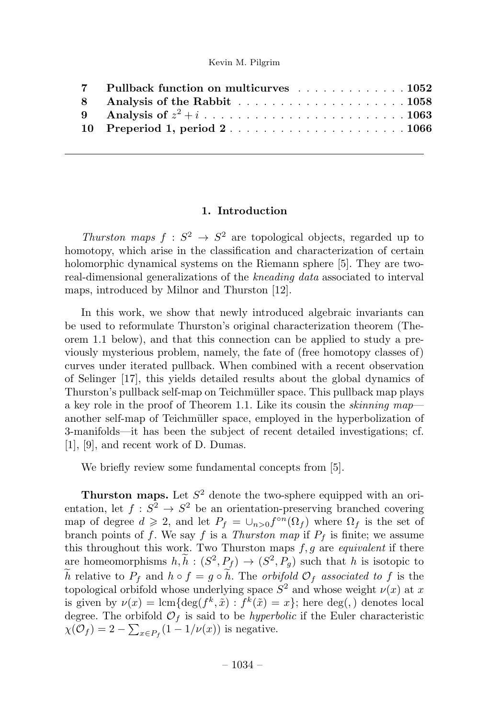| 7 Pullback function on multicurves 1052 |
|-----------------------------------------|
|                                         |
|                                         |
| 10 Preperiod 1, period 21066            |
|                                         |

#### 1. Introduction

Thurston maps  $f : S^2 \to S^2$  are topological objects, regarded up to homotopy, which arise in the classification and characterization of certain holomorphic dynamical systems on the Riemann sphere [5]. They are tworeal-dimensional generalizations of the *kneading data* associated to interval maps, introduced by Milnor and Thurston [12].

In this work, we show that newly introduced algebraic invariants can be used to reformulate Thurston's original characterization theorem (Theorem 1.1 below), and that this connection can be applied to study a previously mysterious problem, namely, the fate of (free homotopy classes of) curves under iterated pullback. When combined with a recent observation of Selinger [17], this yields detailed results about the global dynamics of Thurston's pullback self-map on Teichmüller space. This pullback map plays a key role in the proof of Theorem 1.1. Like its cousin the *skinning map* another self-map of Teichm¨uller space, employed in the hyperbolization of 3-manifolds—it has been the subject of recent detailed investigations; cf.  $[1]$ ,  $[9]$ , and recent work of D. Dumas.

We briefly review some fundamental concepts from [5].

**Thurston maps.** Let  $S^2$  denote the two-sphere equipped with an orientation, let  $f : S^2 \to S^2$  be an orientation-preserving branched covering map of degree  $d \geq 2$ , and let  $P_f = \bigcup_{n>0} f^{\circ n}(\Omega_f)$  where  $\Omega_f$  is the set of branch points of f. We say f is a Thurston map if  $P_f$  is finite; we assume this throughout this work. Two Thurston maps  $f, g$  are *equivalent* if there are homeomorphisms  $h, h : (S^2, P_f) \to (S^2, P_g)$  such that h is isotopic to h relative to  $P_f$  and  $h \circ f = g \circ h$ . The *orbifold*  $\mathcal{O}_f$  associated to f is the topological orbifold whose underlying space  $S^2$  and whose weight  $\nu(x)$  at x is given by  $\nu(x) = \text{lcm} \{ \text{deg}(f^k, \tilde{x}) : f^k(\tilde{x}) = x \}$ ; here deg(,) denotes local degree. The orbifold  $\mathcal{O}_f$  is said to be *hyperbolic* if the Euler characteristic  $\chi(\mathcal{O}_f) = 2 - \sum_{x \in P_f} (1 - 1/\nu(x))$  is negative.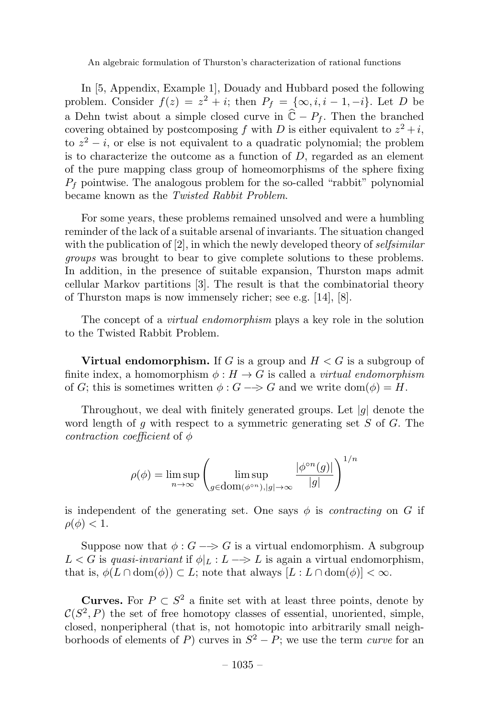In [5, Appendix, Example 1], Douady and Hubbard posed the following problem. Consider  $f(z) = z^2 + i$ ; then  $P_f = {\infty, i, i - 1, -i}$ . Let D be a Dehn twist about a simple closed curve in  $\widehat{C} - P_f$ . Then the branched covering obtained by postcomposing f with D is either equivalent to  $z^2 + i$ , to  $z^2 - i$ , or else is not equivalent to a quadratic polynomial; the problem is to characterize the outcome as a function of  $D$ , regarded as an element of the pure mapping class group of homeomorphisms of the sphere fixing  $P<sub>f</sub>$  pointwise. The analogous problem for the so-called "rabbit" polynomial became known as the Twisted Rabbit Problem.

For some years, these problems remained unsolved and were a humbling reminder of the lack of a suitable arsenal of invariants. The situation changed with the publication of  $[2]$ , in which the newly developed theory of selfsimilar groups was brought to bear to give complete solutions to these problems. In addition, in the presence of suitable expansion, Thurston maps admit cellular Markov partitions [3]. The result is that the combinatorial theory of Thurston maps is now immensely richer; see e.g.  $[14]$ ,  $[8]$ .

The concept of a *virtual endomorphism* plays a key role in the solution to the Twisted Rabbit Problem.

**Virtual endomorphism.** If G is a group and  $H < G$  is a subgroup of finite index, a homomorphism  $\phi: H \to G$  is called a *virtual endomorphism* of G; this is sometimes written  $\phi$ :  $G \rightarrow G$  and we write dom( $\phi$ ) = H.

Throughout, we deal with finitely generated groups. Let  $|q|$  denote the word length of q with respect to a symmetric generating set  $S$  of  $G$ . The contraction coefficient of  $\phi$ 

$$
\rho(\phi) = \limsup_{n \to \infty} \left( \limsup_{g \in \text{dom}(\phi^{\circ n}), |g| \to \infty} \frac{|\phi^{\circ n}(g)|}{|g|} \right)^{1/n}
$$

is independent of the generating set. One says  $\phi$  is *contracting* on G if  $\rho(\phi) < 1.$ 

Suppose now that  $\phi : G \longrightarrow G$  is a virtual endomorphism. A subgroup  $L < G$  is quasi-invariant if  $\phi|_L : L \longrightarrow L$  is again a virtual endomorphism, that is,  $\phi(L \cap \text{dom}(\phi)) \subset L$ ; note that always  $[L: L \cap \text{dom}(\phi)] < \infty$ .

**Curves.** For  $P \subset S^2$  a finite set with at least three points, denote by  $\mathcal{C}(S^2, P)$  the set of free homotopy classes of essential, unoriented, simple, closed, nonperipheral (that is, not homotopic into arbitrarily small neighborhoods of elements of P) curves in  $S^2 - P$ ; we use the term *curve* for an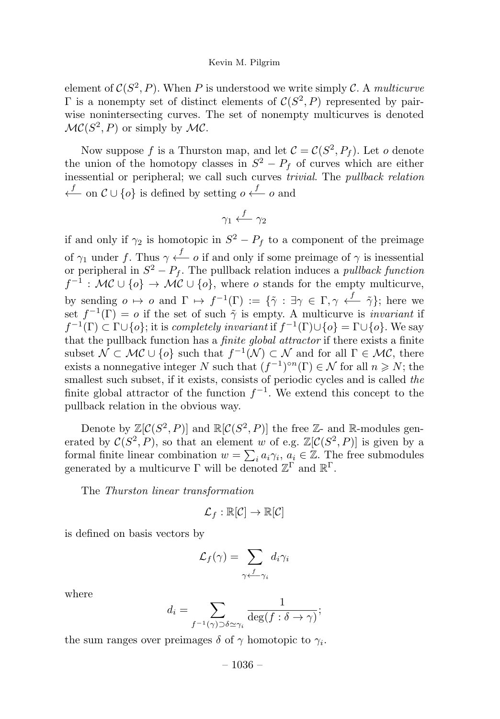element of  $C(S^2, P)$ . When P is understood we write simply C. A multicurve Γ is a nonempty set of distinct elements of  $C(S^2, P)$  represented by pairwise nonintersecting curves. The set of nonempty multicurves is denoted  $\mathcal{MC}(S^2, P)$  or simply by  $\mathcal{MC}$ .

Now suppose f is a Thurston map, and let  $C = C(S^2, P_f)$ . Let o denote the union of the homotopy classes in  $S^2 - P_f$  of curves which are either inessential or peripheral; we call such curves trivial. The pullback relation  $\leftarrow$  on  $\mathcal{C} \cup \{o\}$  is defined by setting  $o \xleftarrow{f} o$  and

$$
\gamma_1 \xleftarrow{f} \gamma_2
$$

if and only if  $\gamma_2$  is homotopic in  $S^2 - P_f$  to a component of the preimage of  $\gamma_1$  under f. Thus  $\gamma \stackrel{f}{\longleftarrow} o$  if and only if some preimage of  $\gamma$  is inessential or peripheral in  $S^2 - P_f$ . The pullback relation induces a *pullback function*  $f^{-1}: \mathcal{MC} \cup \{o\} \to \mathcal{MC} \cup \{o\}$ , where o stands for the empty multicurve, by sending  $o \mapsto o$  and  $\Gamma \mapsto f^{-1}(\Gamma) := {\tilde{\gamma} : \exists \gamma \in \Gamma, \gamma \stackrel{f}{\longleftarrow} \tilde{\gamma}};$  here we set  $f^{-1}(\Gamma) = o$  if the set of such  $\tilde{\gamma}$  is empty. A multicurve is *invariant* if  $f^{-1}(\Gamma) \subset \Gamma \cup \{o\}$ ; it is completely invariant if  $f^{-1}(\Gamma) \cup \{o\} = \Gamma \cup \{o\}$ . We say that the pullback function has a *finite global attractor* if there exists a finite subset  $\mathcal{N} \subset \mathcal{MC} \cup \{o\}$  such that  $f^{-1}(\mathcal{N}) \subset \mathcal{N}$  and for all  $\Gamma \in \mathcal{MC}$ , there exists a nonnegative integer N such that  $(f^{-1})^{\circ n}(\Gamma) \in \mathcal{N}$  for all  $n \geq N$ ; the smallest such subset, if it exists, consists of periodic cycles and is called the finite global attractor of the function  $f^{-1}$ . We extend this concept to the pullback relation in the obvious way.

Denote by  $\mathbb{Z}[\mathcal{C}(S^2, P)]$  and  $\mathbb{R}[\mathcal{C}(S^2, P)]$  the free  $\mathbb{Z}$ - and  $\mathbb{R}$ -modules generated by  $\mathcal{C}(S^2, P)$ , so that an element w of e.g.  $\mathbb{Z}[\mathcal{C}(S^2, P)]$  is given by a formal finite linear combination  $w = \sum_i a_i \gamma_i, a_i \in \mathbb{Z}$ . The free submodules generated by a multicurve  $\Gamma$  will be denoted  $\mathbb{Z}^{\Gamma}$  and  $\mathbb{R}^{\Gamma}$ .

The Thurston linear transformation

$$
\mathcal{L}_f:\mathbb{R}[\mathcal{C}]\rightarrow\mathbb{R}[\mathcal{C}]
$$

is defined on basis vectors by

$$
\mathcal{L}_f(\gamma) = \sum_{\gamma \leftarrow \gamma_i} d_i \gamma_i
$$

where

$$
d_i = \sum_{f^{-1}(\gamma) \supset \delta \simeq \gamma_i} \frac{1}{\deg(f : \delta \to \gamma)};
$$

the sum ranges over preimages  $\delta$  of  $\gamma$  homotopic to  $\gamma_i$ .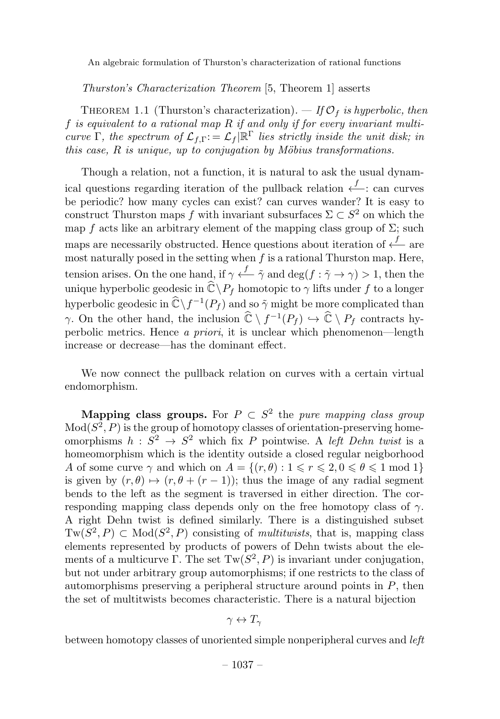Thurston's Characterization Theorem [5, Theorem 1] asserts

THEOREM 1.1 (Thurston's characterization).  $-$  If  $\mathcal{O}_f$  is hyperbolic, then f is equivalent to a rational map  $R$  if and only if for every invariant multicurve Γ, the spectrum of  $\mathcal{L}_{f,\Gamma}:=\mathcal{L}_f|\mathbb{R}^{\Gamma}$  lies strictly inside the unit disk; in this case,  $R$  is unique, up to conjugation by Möbius transformations.

Though a relation, not a function, it is natural to ask the usual dynamical questions regarding iteration of the pullback relation  $\stackrel{f}{\longleftarrow}$ : can curves be periodic? how many cycles can exist? can curves wander? It is easy to construct Thurston maps f with invariant subsurfaces  $\Sigma \subset S^2$  on which the map f acts like an arbitrary element of the mapping class group of  $\Sigma$ ; such maps are necessarily obstructed. Hence questions about iteration of  $\stackrel{f}{\longleftarrow}$  are most naturally posed in the setting when  $f$  is a rational Thurston map. Here, tension arises. On the one hand, if  $\gamma \stackrel{f}{\longleftarrow} \tilde{\gamma}$  and  $\deg(f : \tilde{\gamma} \to \gamma) > 1$ , then the unique hyperbolic geodesic in  $\widehat{\mathbb{C}} \backslash P_f$  homotopic to  $\gamma$  lifts under f to a longer hyperbolic geodesic in  $\hat{\mathbb{C}} \backslash f^{-1}(P_f)$  and so  $\tilde{\gamma}$  might be more complicated than  $\gamma$ . On the other hand, the inclusion  $\widehat{\mathbb{C}} \setminus f^{-1}(P_f) \hookrightarrow \widehat{\mathbb{C}} \setminus P_f$  contracts hyperbolic metrics. Hence a priori, it is unclear which phenomenon—length increase or decrease—has the dominant effect.

We now connect the pullback relation on curves with a certain virtual endomorphism.

Mapping class groups. For  $P \subset S^2$  the pure mapping class group  $Mod(S^2, P)$  is the group of homotopy classes of orientation-preserving homeomorphisms  $h : \tilde{S}^2 \to S^2$  which fix P pointwise. A left Dehn twist is a homeomorphism which is the identity outside a closed regular neigborhood A of some curve  $\gamma$  and which on  $A = \{(r, \theta) : 1 \le r \le 2, 0 \le \theta \le 1 \text{ mod } 1\}$ is given by  $(r, \theta) \mapsto (r, \theta + (r - 1))$ ; thus the image of any radial segment bends to the left as the segment is traversed in either direction. The corresponding mapping class depends only on the free homotopy class of  $\gamma$ . A right Dehn twist is defined similarly. There is a distinguished subset  $Tw(S^2, P) \subset Mod(S^2, P)$  consisting of *multitwists*, that is, mapping class elements represented by products of powers of Dehn twists about the elements of a multicurve Γ. The set  $Tw(S^2, P)$  is invariant under conjugation, but not under arbitrary group automorphisms; if one restricts to the class of automorphisms preserving a peripheral structure around points in  $P$ , then the set of multitwists becomes characteristic. There is a natural bijection

$$
\gamma\leftrightarrow T_\gamma
$$

between homotopy classes of unoriented simple nonperipheral curves and *left*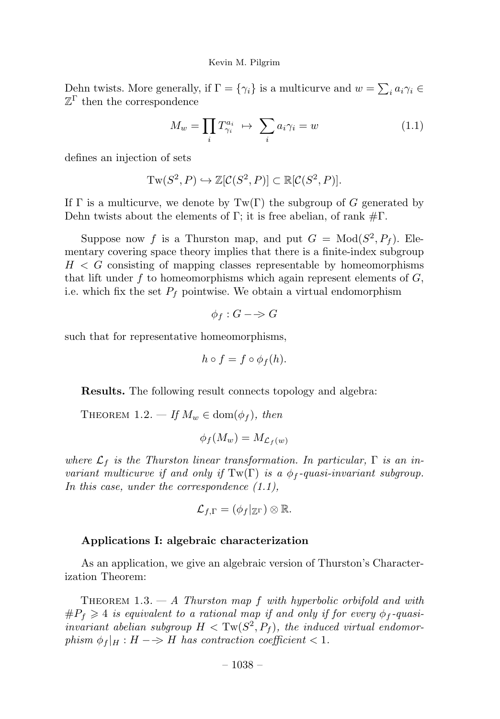Dehn twists. More generally, if  $\Gamma = {\gamma_i}$  is a multicurve and  $w = \sum_i a_i \gamma_i \in \mathbb{R}$  $\mathbb{Z}^{\Gamma}$  then the correspondence

$$
M_w = \prod_i T_{\gamma_i}^{a_i} \rightarrow \sum_i a_i \gamma_i = w \tag{1.1}
$$

defines an injection of sets

$$
Tw(S^2, P) \hookrightarrow \mathbb{Z}[\mathcal{C}(S^2, P)] \subset \mathbb{R}[\mathcal{C}(S^2, P)].
$$

If  $\Gamma$  is a multicurve, we denote by  $Tw(\Gamma)$  the subgroup of G generated by Dehn twists about the elements of Γ; it is free abelian, of rank  $\#\Gamma$ .

Suppose now f is a Thurston map, and put  $G = Mod(S^2, P_f)$ . Elementary covering space theory implies that there is a finite-index subgroup  $H < G$  consisting of mapping classes representable by homeomorphisms that lift under f to homeomorphisms which again represent elements of  $G$ , i.e. which fix the set  $P_f$  pointwise. We obtain a virtual endomorphism

$$
\phi_f: G \longrightarrow G
$$

such that for representative homeomorphisms,

$$
h\circ f=f\circ\phi_f(h).
$$

Results. The following result connects topology and algebra:

THEOREM 1.2. — If  $M_w \in \text{dom}(\phi_f)$ , then

$$
\phi_f(M_w) = M_{\mathcal{L}_f(w)}
$$

where  $\mathcal{L}_f$  is the Thurston linear transformation. In particular,  $\Gamma$  is an invariant multicurve if and only if  $Tw(\Gamma)$  is a  $\phi_f$ -quasi-invariant subgroup. In this case, under the correspondence (1.1),

$$
\mathcal{L}_{f,\Gamma}=(\phi_f|_{\mathbb{Z}^{\Gamma}})\otimes \mathbb{R}.
$$

#### Applications I: algebraic characterization

As an application, we give an algebraic version of Thurston's Characterization Theorem:

THEOREM 1.3.  $- A$  Thurston map f with hyperbolic orbifold and with  $\#P_f \geq 4$  is equivalent to a rational map if and only if for every  $\phi_f$ -quasiinvariant abelian subgroup  $H < \text{Tw}(S^2, P_f)$ , the induced virtual endomorphism  $\phi_f|_H : H \longrightarrow H$  has contraction coefficient < 1.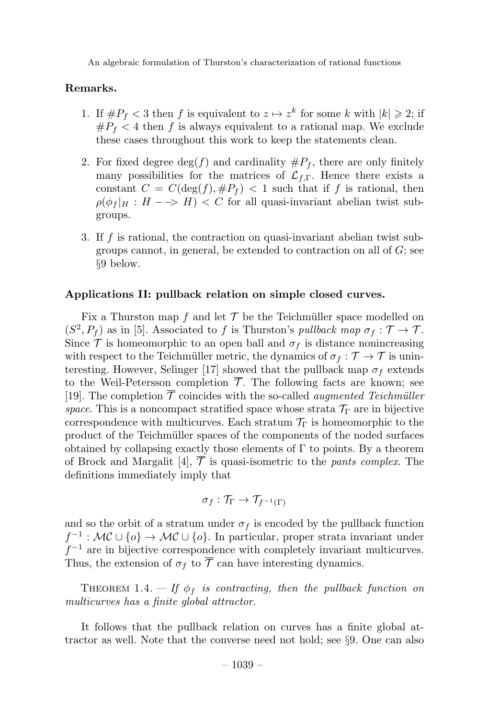#### Remarks.

- 1. If  $\#P_f < 3$  then f is equivalent to  $z \mapsto z^k$  for some k with  $|k| \geq 2$ ; if  $\#P_f$  < 4 then f is always equivalent to a rational map. We exclude these cases throughout this work to keep the statements clean.
- 2. For fixed degree  $\deg(f)$  and cardinality  $\#P_f$ , there are only finitely many possibilities for the matrices of  $\mathcal{L}_{f,\Gamma}$ . Hence there exists a constant  $C = C(\deg(f), \#P_f) < 1$  such that if f is rational, then  $\rho(\phi_f|_H : H \longrightarrow H) < C$  for all quasi-invariant abelian twist subgroups.
- 3. If f is rational, the contraction on quasi-invariant abelian twist subgroups cannot, in general, be extended to contraction on all of  $G$ ; see §9 below.

#### Applications II: pullback relation on simple closed curves.

Fix a Thurston map f and let  $\mathcal T$  be the Teichmüller space modelled on  $(S^2, P_f)$  as in [5]. Associated to f is Thurston's pullback map  $\sigma_f : \mathcal{T} \to \mathcal{T}$ . Since  $\mathcal T$  is homeomorphic to an open ball and  $\sigma_f$  is distance nonincreasing with respect to the Teichmüller metric, the dynamics of  $\sigma_f : \mathcal{T} \to \mathcal{T}$  is uninteresting. However, Selinger [17] showed that the pullback map  $\sigma_f$  extends to the Weil-Petersson completion  $\overline{\mathcal{T}}$ . The following facts are known; see [19]. The completion  $\overline{\mathcal{T}}$  coincides with the so-called *augmented Teichmüller* space. This is a noncompact stratified space whose strata  $\mathcal{T}_{\Gamma}$  are in bijective correspondence with multicurves. Each stratum  $\mathcal{T}_{\Gamma}$  is homeomorphic to the product of the Teichmüller spaces of the components of the noded surfaces obtained by collapsing exactly those elements of  $\Gamma$  to points. By a theorem of Brock and Margalit [4],  $\overline{\mathcal{T}}$  is quasi-isometric to the *pants complex*. The definitions immediately imply that

$$
\sigma_f: \mathcal{T}_{\Gamma} \to \mathcal{T}_{f^{-1}(\Gamma)}
$$

and so the orbit of a stratum under  $\sigma_f$  is encoded by the pullback function  $f^{-1}: \mathcal{MC} \cup \{o\} \to \mathcal{MC} \cup \{o\}$ . In particular, proper strata invariant under  $f^{-1}$  are in bijective correspondence with completely invariant multicurves. Thus, the extension of  $\sigma_f$  to  $\overline{\mathcal{T}}$  can have interesting dynamics.

THEOREM 1.4.  $-$  If  $\phi_f$  is contracting, then the pullback function on multicurves has a finite global attractor.

It follows that the pullback relation on curves has a finite global attractor as well. Note that the converse need not hold; see §9. One can also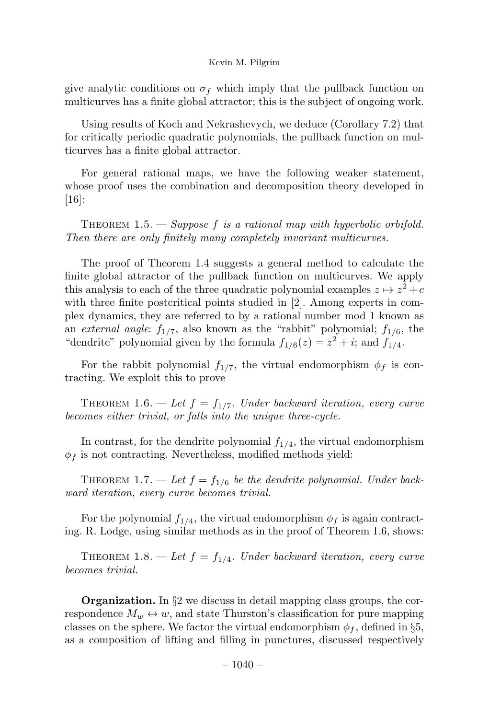give analytic conditions on  $\sigma_f$  which imply that the pullback function on multicurves has a finite global attractor; this is the subject of ongoing work.

Using results of Koch and Nekrashevych, we deduce (Corollary 7.2) that for critically periodic quadratic polynomials, the pullback function on multicurves has a finite global attractor.

For general rational maps, we have the following weaker statement, whose proof uses the combination and decomposition theory developed in [16]:

THEOREM  $1.5.$  — Suppose f is a rational map with hyperbolic orbifold. Then there are only finitely many completely invariant multicurves.

The proof of Theorem 1.4 suggests a general method to calculate the finite global attractor of the pullback function on multicurves. We apply this analysis to each of the three quadratic polynomial examples  $z \mapsto z^2+c$ with three finite postcritical points studied in [2]. Among experts in complex dynamics, they are referred to by a rational number mod 1 known as an external angle:  $f_{1/7}$ , also known as the "rabbit" polynomial;  $f_{1/6}$ , the "dendrite" polynomial given by the formula  $f_{1/6}(z) = z^2 + i$ ; and  $f_{1/4}$ .

For the rabbit polynomial  $f_{1/7}$ , the virtual endomorphism  $\phi_f$  is contracting. We exploit this to prove

THEOREM 1.6. — Let  $f = f_{1/7}$ . Under backward iteration, every curve becomes either trivial, or falls into the unique three-cycle.

In contrast, for the dendrite polynomial  $f_{1/4}$ , the virtual endomorphism  $\phi_f$  is not contracting. Nevertheless, modified methods yield:

THEOREM 1.7. — Let  $f = f_{1/6}$  be the dendrite polynomial. Under backward iteration, every curve becomes trivial.

For the polynomial  $f_{1/4}$ , the virtual endomorphism  $\phi_f$  is again contracting. R. Lodge, using similar methods as in the proof of Theorem 1.6, shows:

THEOREM 1.8. — Let  $f = f_{1/4}$ . Under backward iteration, every curve becomes trivial.

**Organization.** In  $\S2$  we discuss in detail mapping class groups, the correspondence  $M_w \leftrightarrow w$ , and state Thurston's classification for pure mapping classes on the sphere. We factor the virtual endomorphism  $\phi_f$ , defined in §5, as a composition of lifting and filling in punctures, discussed respectively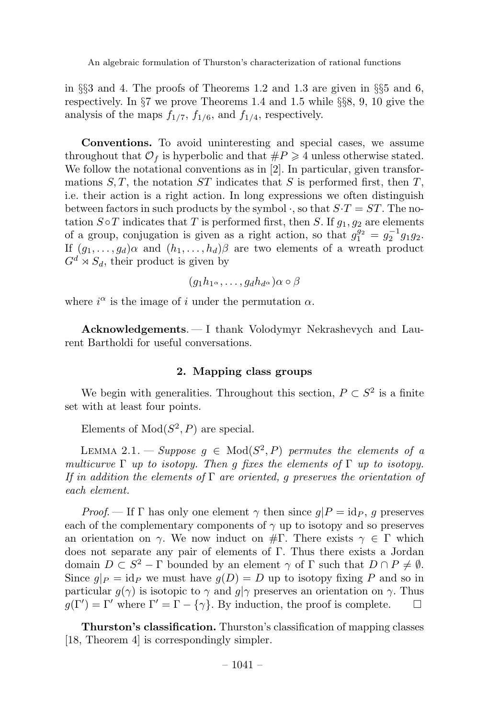in §§3 and 4. The proofs of Theorems 1.2 and 1.3 are given in §§5 and 6, respectively. In §7 we prove Theorems 1.4 and 1.5 while §§8, 9, 10 give the analysis of the maps  $f_{1/7}$ ,  $f_{1/6}$ , and  $f_{1/4}$ , respectively.

Conventions. To avoid uninteresting and special cases, we assume throughout that  $\mathcal{O}_f$  is hyperbolic and that  $\#P \geq 4$  unless otherwise stated. We follow the notational conventions as in [2]. In particular, given transformations  $S, T$ , the notation  $ST$  indicates that S is performed first, then T, i.e. their action is a right action. In long expressions we often distinguish between factors in such products by the symbol  $\cdot$ , so that  $S \cdot T = ST$ . The notation  $S \circ T$  indicates that T is performed first, then S. If  $g_1, g_2$  are elements of a group, conjugation is given as a right action, so that  $g_1^{g_2} = g_2^{-1}g_1g_2$ . If  $(g_1,\ldots,g_d)\alpha$  and  $(h_1,\ldots,h_d)\beta$  are two elements of a wreath product  $G^d \rtimes S_d$ , their product is given by

$$
(g_1h_1\alpha,\ldots,g_dh_d\alpha)\alpha\circ\beta
$$

where  $i^{\alpha}$  is the image of i under the permutation  $\alpha$ .

Acknowledgements. — I thank Volodymyr Nekrashevych and Laurent Bartholdi for useful conversations.

### 2. Mapping class groups

We begin with generalities. Throughout this section,  $P \subset S^2$  is a finite set with at least four points.

Elements of  $Mod(S^2, P)$  are special.

LEMMA 2.1. — Suppose  $g \in Mod(S^2, P)$  permutes the elements of a multicurve  $\Gamma$  up to isotopy. Then g fixes the elements of  $\Gamma$  up to isotopy. If in addition the elements of  $\Gamma$  are oriented, g preserves the orientation of each element.

*Proof.* — If  $\Gamma$  has only one element  $\gamma$  then since  $g|P = id_P$ , g preserves each of the complementary components of  $\gamma$  up to isotopy and so preserves an orientation on  $\gamma$ . We now induct on #Γ. There exists  $\gamma \in \Gamma$  which does not separate any pair of elements of  $\Gamma$ . Thus there exists a Jordan domain  $D \subset S^2 - \Gamma$  bounded by an element  $\gamma$  of  $\Gamma$  such that  $D \cap P \neq \emptyset$ . Since  $g|_P = id_P$  we must have  $g(D) = D$  up to isotopy fixing P and so in particular  $g(\gamma)$  is isotopic to  $\gamma$  and  $g|\gamma$  preserves an orientation on  $\gamma$ . Thus  $g(\Gamma') = \Gamma'$  where  $\Gamma' = \Gamma - {\{\gamma\}}$ . By induction, the proof is complete.  $g(\Gamma') = \Gamma'$  where  $\Gamma' = \Gamma - \{\gamma\}$ . By induction, the proof is complete.  $\Box$ 

**Thurston's classification.** Thurston's classification of mapping classes [18, Theorem 4] is correspondingly simpler.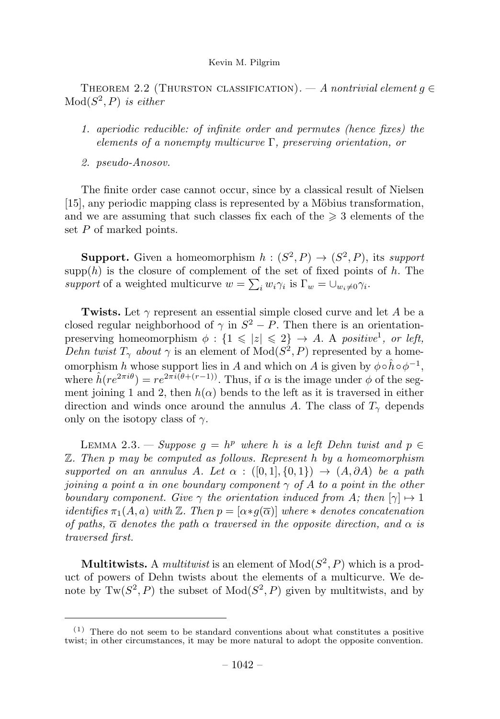THEOREM 2.2 (THURSTON CLASSIFICATION). — A nontrivial element  $g \in$  $Mod(S^2, P)$  is either

- 1. aperiodic reducible: of infinite order and permutes (hence fixes) the elements of a nonempty multicurve Γ, preserving orientation, or
- 2. pseudo-Anosov.

The finite order case cannot occur, since by a classical result of Nielsen [15], any periodic mapping class is represented by a Möbius transformation, and we are assuming that such classes fix each of the  $\geq 3$  elements of the set  $P$  of marked points.

**Support.** Given a homeomorphism  $h : (S^2, P) \rightarrow (S^2, P)$ , its support  $\text{supp}(h)$  is the closure of complement of the set of fixed points of h. The support of a weighted multicurve  $w = \sum_i w_i \gamma_i$  is  $\Gamma_w = \bigcup_{w_i \neq 0} \gamma_i$ .

Twists. Let  $\gamma$  represent an essential simple closed curve and let A be a closed regular neighborhood of  $\gamma$  in  $S^2 - P$ . Then there is an orientationpreserving homeomorphism  $\phi: \{1 \leqslant |z| \leqslant 2\} \rightarrow A$ . A positive<sup>1</sup>, or left, Dehn twist  $T_{\gamma}$  about  $\gamma$  is an element of  $Mod(S^2, P)$  represented by a homeomorphism h whose support lies in A and which on A is given by  $\phi \circ \hat{h} \circ \phi^{-1}$ , where  $\hat{h}(re^{2\pi i\theta}) = re^{2\pi i(\theta + (r-1))}$ . Thus, if  $\alpha$  is the image under  $\phi$  of the segment joining 1 and 2, then  $h(\alpha)$  bends to the left as it is traversed in either direction and winds once around the annulus A. The class of  $T_{\gamma}$  depends only on the isotopy class of  $\gamma$ .

LEMMA 2.3. — Suppose  $g = h^p$  where h is a left Dehn twist and  $p \in$ Z. Then p may be computed as follows. Represent h by a homeomorphism supported on an annulus A. Let  $\alpha : ([0,1], \{0,1\}) \rightarrow (A, \partial A)$  be a path joining a point a in one boundary component  $\gamma$  of A to a point in the other boundary component. Give  $\gamma$  the orientation induced from A; then  $[\gamma] \mapsto 1$ identifies  $\pi_1(A, a)$  with  $\mathbb Z$ . Then  $p = [\alpha * g(\overline{\alpha})]$  where  $*$  denotes concatenation of paths,  $\overline{\alpha}$  denotes the path  $\alpha$  traversed in the opposite direction, and  $\alpha$  is traversed first.

**Multitwists.** A *multitwist* is an element of  $Mod(S^2, P)$  which is a product of powers of Dehn twists about the elements of a multicurve. We denote by  $Tw(S^2, P)$  the subset of  $Mod(S^2, P)$  given by multitwists, and by

 $(1)$  There do not seem to be standard conventions about what constitutes a positive twist; in other circumstances, it may be more natural to adopt the opposite convention.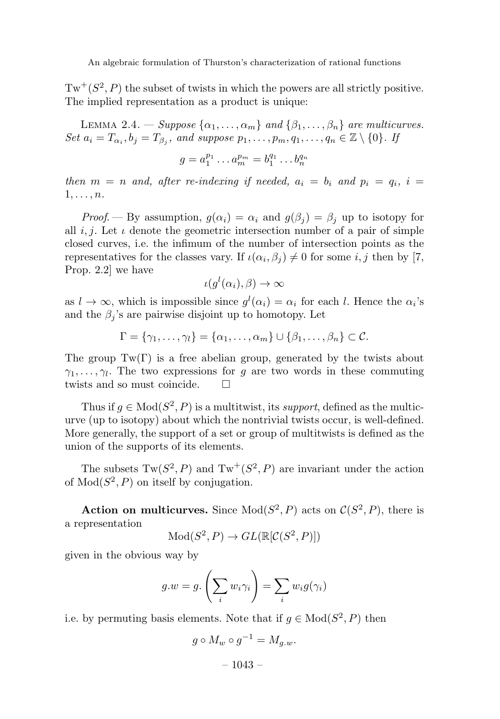$Tw^+(S^2, P)$  the subset of twists in which the powers are all strictly positive. The implied representation as a product is unique:

LEMMA 2.4. – Suppose  $\{\alpha_1,\ldots,\alpha_m\}$  and  $\{\beta_1,\ldots,\beta_n\}$  are multicurves. Set  $a_i = T_{\alpha_i}, b_j = T_{\beta_j}$ , and suppose  $p_1, \ldots, p_m, q_1, \ldots, q_n \in \mathbb{Z} \setminus \{0\}$ . If

$$
g = a_1^{p_1} \dots a_m^{p_m} = b_1^{q_1} \dots b_n^{q_n}
$$

then  $m = n$  and, after re-indexing if needed,  $a_i = b_i$  and  $p_i = q_i$ ,  $i =$  $1,\ldots,n$ .

*Proof.* — By assumption,  $g(\alpha_i) = \alpha_i$  and  $g(\beta_i) = \beta_i$  up to isotopy for all i, j. Let  $\iota$  denote the geometric intersection number of a pair of simple closed curves, i.e. the infimum of the number of intersection points as the representatives for the classes vary. If  $\iota(\alpha_i, \beta_i) \neq 0$  for some i, j then by [7, Prop. 2.2] we have

$$
\iota(g^l(\alpha_i),\beta)\to\infty
$$

as  $l \to \infty$ , which is impossible since  $g^{l}(\alpha_i) = \alpha_i$  for each l. Hence the  $\alpha_i$ 's and the  $\beta_i$ 's are pairwise disjoint up to homotopy. Let

$$
\Gamma = \{ \gamma_1, \ldots, \gamma_l \} = \{ \alpha_1, \ldots, \alpha_m \} \cup \{ \beta_1, \ldots, \beta_n \} \subset \mathcal{C}.
$$

The group  $Tw(\Gamma)$  is a free abelian group, generated by the twists about  $\gamma_1,\ldots,\gamma_l$ . The two expressions for g are two words in these commuting twists and so must coincide.

Thus if  $q \in Mod(S^2, P)$  is a multitwist, its *support*, defined as the multicurve (up to isotopy) about which the nontrivial twists occur, is well-defined. More generally, the support of a set or group of multitwists is defined as the union of the supports of its elements.

The subsets  $Tw(S^2, P)$  and  $Tw^+(S^2, P)$  are invariant under the action of  $Mod(S^2, P)$  on itself by conjugation.

Action on multicurves. Since  $Mod(S^2, P)$  acts on  $C(S^2, P)$ , there is a representation

$$
Mod(S^2, P) \to GL(\mathbb{R}[\mathcal{C}(S^2, P)])
$$

given in the obvious way by

$$
g.w = g.\left(\sum_i w_i \gamma_i\right) = \sum_i w_i g(\gamma_i)
$$

i.e. by permuting basis elements. Note that if  $g \in Mod(S^2, P)$  then

$$
g \circ M_w \circ g^{-1} = M_{g.w}.
$$

 $-1043-$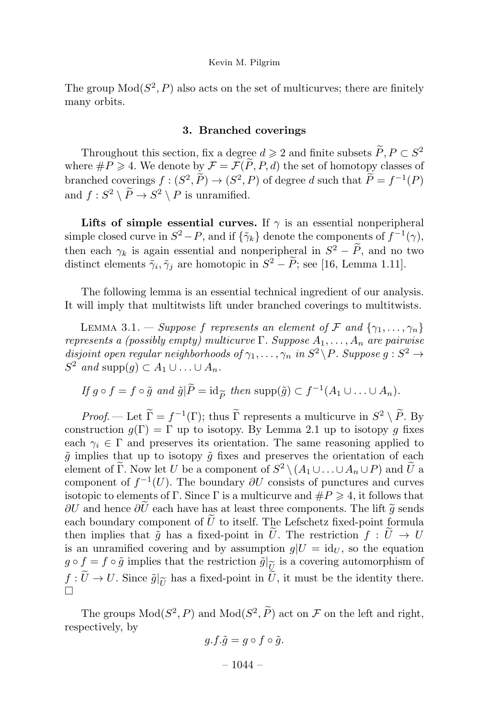The group  $Mod(S^2, P)$  also acts on the set of multicurves; there are finitely many orbits.

#### 3. Branched coverings

Throughout this section, fix a degree  $d \geqslant 2$  and finite subsets  $P, P \subset S^2$ where  $\#P \geq 4$ . We denote by  $\mathcal{F} = \mathcal{F}(P, P, d)$  the set of homotopy classes of branched coverings  $f : (S^2, P) \to (S^2, P)$  of degree d such that  $P = f^{-1}(P)$ and  $f: S^2 \setminus \tilde{P} \to S^2 \setminus P$  is unramified.

Lifts of simple essential curves. If  $\gamma$  is an essential nonperipheral simple closed curve in  $S^2 - P$ , and if  $\{\tilde{\gamma}_k\}$  denote the components of  $f^{-1}(\gamma)$ , then each  $\gamma_k$  is again essential and nonperipheral in  $S^2 - P$ , and no two distinct elements  $\tilde{\gamma}_i, \tilde{\gamma}_j$  are homotopic in  $S^2 - P$ ; see [16, Lemma 1.11].

The following lemma is an essential technical ingredient of our analysis. It will imply that multitwists lift under branched coverings to multitwists.

LEMMA 3.1. — Suppose f represents an element of F and  $\{\gamma_1, \ldots, \gamma_n\}$ represents a (possibly empty) multicurve  $\Gamma$ . Suppose  $A_1, \ldots, A_n$  are pairwise disjoint open regular neighborhoods of  $\gamma_1, \ldots, \gamma_n$  in  $S^2 \backslash P$ . Suppose  $g : S^2 \rightarrow$  $S^2$  and supp $(g) \subset A_1 \cup \ldots \cup A_n$ .

If 
$$
g \circ f = f \circ \tilde{g}
$$
 and  $\tilde{g} | \tilde{P} = \text{id}_{\widetilde{P}}$  then supp $(\tilde{g}) \subset f^{-1}(A_1 \cup \ldots \cup A_n)$ .

*Proof.* — Let  $\Gamma = f^{-1}(\Gamma)$ ; thus  $\Gamma$  represents a multicurve in  $S^2 \setminus P$ . By construction  $g(\Gamma) = \Gamma$  up to isotopy. By Lemma 2.1 up to isotopy g fixes each  $\gamma_i \in \Gamma$  and preserves its orientation. The same reasoning applied to  $\tilde{g}$  implies that up to isotopy  $\tilde{g}$  fixes and preserves the orientation of each element of  $\tilde{\Gamma}$ . Now let U be a component of  $S^2 \setminus (A_1 \cup \ldots \cup A_n \cup P)$  and  $\tilde{U}$  a component of  $f^{-1}(U)$ . The boundary  $\partial U$  consists of punctures and curves isotopic to elements of  $\Gamma$ . Since  $\Gamma$  is a multicurve and  $\#P \geq 4$ , it follows that  $\partial U$  and hence  $\partial U$  each have has at least three components. The lift  $\tilde{g}$  sends each boundary component of U-to itself. The Lefschetz fixed-point formula then implies that  $\tilde{g}$  has a fixed-point in U. The restriction  $f: U \to U$ is an unramified covering and by assumption  $g|U = id_U$ , so the equation  $g \circ f = f \circ \tilde{g}$  implies that the restriction  $\tilde{g}|_{\tilde{U}}$  is a covering automorphism of  $\frac{U}{\tilde{U}}$  $f: U \to U$ . Since  $\tilde{g}|_{\tilde{U}}$  has a fixed-point in U, it must be the identity there.  $\Box$ 

The groups  $Mod(S^2, P)$  and  $Mod(S^2, P)$  act on F on the left and right, respectively, by

$$
g.f.\tilde{g} = g \circ f \circ \tilde{g}.
$$

 $-1044-$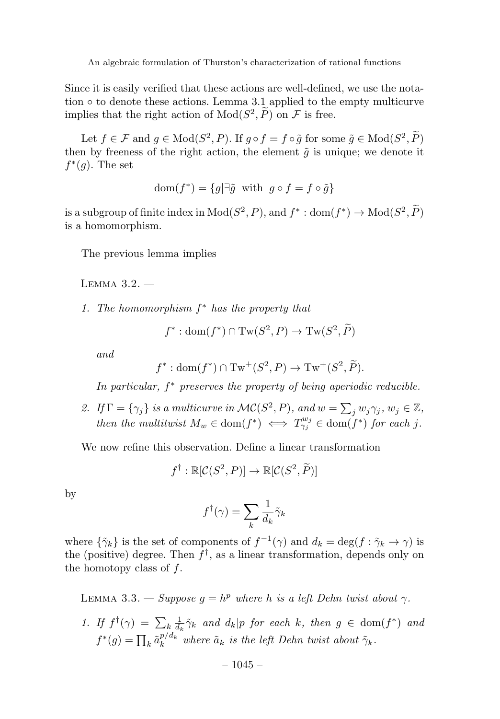Since it is easily verified that these actions are well-defined, we use the notation  $\circ$  to denote these actions. Lemma 3.1 applied to the empty multicurve implies that the right action of  $Mod(S^2, P)$  on F is free.

Let  $f \in \mathcal{F}$  and  $g \in \text{Mod}(S^2, P)$ . If  $g \circ f = f \circ \tilde{g}$  for some  $\tilde{g} \in \text{Mod}(S^2, P)$ then by freeness of the right action, the element  $\tilde{q}$  is unique; we denote it  $f^*(q)$ . The set

$$
\text{dom}(f^*) = \{ g | \exists \tilde{g} \text{ with } g \circ f = f \circ \tilde{g} \}
$$

is a subgroup of finite index in  $Mod(S^2, P)$ , and  $f^* : dom(f^*) \to Mod(S^2, \tilde{P})$ is a homomorphism.

The previous lemma implies

Lemma 3.2. —

1. The homomorphism  $f^*$  has the property that

$$
f^* : \text{dom}(f^*) \cap \text{Tw}(S^2, P) \to \text{Tw}(S^2, \widetilde{P})
$$

and

$$
f^* : \text{dom}(f^*) \cap \text{Tw}^+(S^2, P) \to \text{Tw}^+(S^2, \widetilde{P}).
$$

In particular,  $f^*$  preserves the property of being aperiodic reducible.

2. If  $\Gamma = \{\gamma_j\}$  is a multicurve in  $\mathcal{MC}(S^2, P)$ , and  $w = \sum_j w_j \gamma_j$ ,  $w_j \in \mathbb{Z}$ , then the multitwist  $M_w \in \text{dom}(f^*) \iff T_{\gamma_j}^{w_j} \in \text{dom}(f^*)$  for each j.

We now refine this observation. Define a linear transformation

$$
f^{\dagger} : \mathbb{R}[\mathcal{C}(S^2, P)] \to \mathbb{R}[\mathcal{C}(S^2, \widetilde{P})]
$$

by

$$
f^{\dagger}(\gamma) = \sum_{k} \frac{1}{d_k} \tilde{\gamma}_k
$$

where  $\{\tilde{\gamma}_k\}$  is the set of components of  $f^{-1}(\gamma)$  and  $d_k = \deg(f : \tilde{\gamma}_k \to \gamma)$  is the (positive) degree. Then  $f^{\dagger}$ , as a linear transformation, depends only on the homotopy class of  $f$ .

LEMMA 3.3. — Suppose  $q = h^p$  where h is a left Dehn twist about  $\gamma$ .

1. If  $f^{\dagger}(\gamma) = \sum_{k} \frac{1}{d_k} \tilde{\gamma}_k$  and  $d_k | p$  for each k, then  $g \in \text{dom}(f^*)$  and  $f^*(g) = \prod_k \tilde{a}_k^{p/d_k}$  where  $\tilde{a}_k$  is the left Dehn twist about  $\tilde{\gamma}_k$ .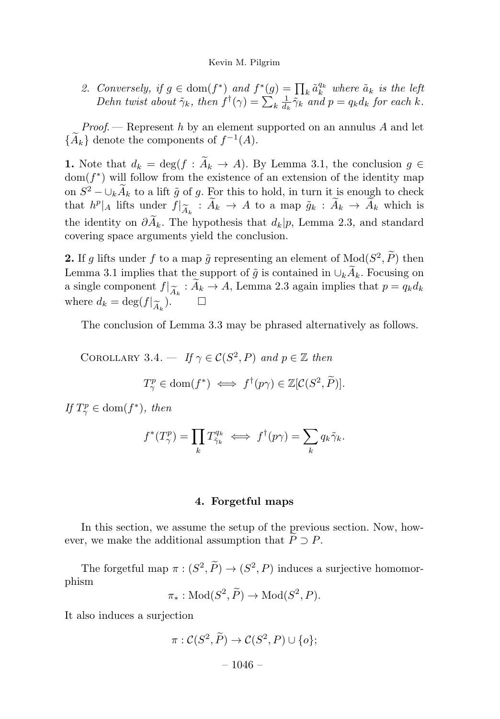2. Conversely, if  $g \in \text{dom}(f^*)$  and  $f^*(g) = \prod_k \tilde{a}_k^{q_k}$  where  $\tilde{a}_k$  is the left Dehn twist about  $\tilde{\gamma}_k$ , then  $f^{\dagger}(\gamma) = \sum_k \frac{1}{d_k} \tilde{\gamma}_k$  and  $p = q_k d_k$  for each k.

*Proof.* — Represent h by an element supported on an annulus  $A$  and let  $\{\widetilde{A}_k\}$  denote the components of  $f^{-1}(A)$ .

1. Note that  $d_k = \deg(f : A_k \to A)$ . By Lemma 3.1, the conclusion  $g \in$  $dom(f^*)$  will follow from the existence of an extension of the identity map on  $S^2 - \bigcup_k \widetilde{A}_k$  to a lift  $\widetilde{g}$  of g. For this to hold, in turn it is enough to check that  $h^p|_A$  lifts under  $f|_{\widetilde{A}_k}: \widetilde{A}_k \to A$  to a map  $\widetilde{g}_k: \widetilde{A}_k \to \widetilde{A}_k$  which is the identity on  $\partial A_k$ . The hypothesis that  $d_k|p$ , Lemma 2.3, and standard covering space arguments yield the conclusion.

**2.** If g lifts under f to a map  $\tilde{g}$  representing an element of  $Mod(S^2, \tilde{P})$  then Lemma 3.1 implies that the support of  $\tilde{g}$  is contained in  $\cup_k A_k$ . Focusing on a single component  $f|_{\widetilde{A}_k}: A_k \to A$ , Lemma 2.3 again implies that  $p = q_k d_k$ <br>where  $d_k = \text{deg}(f|_{\infty})$ where  $d_k = \deg(f|_{\widetilde{A}_k})$ .  $\Box$ 

The conclusion of Lemma 3.3 may be phrased alternatively as follows.

COROLLARY 3.4. — If  $\gamma \in \mathcal{C}(S^2, P)$  and  $p \in \mathbb{Z}$  then  $T^p_\gamma \in \text{dom}(f^*) \iff f^{\dagger}(p\gamma) \in \mathbb{Z}[\mathcal{C}(S^2,\tilde{P})].$ 

If  $T_{\gamma}^p \in \text{dom}(f^*)$ , then

$$
f^*(T^p_\gamma) = \prod_k T^{q_k}_{\tilde{\gamma}_k} \iff f^{\dagger}(p\gamma) = \sum_k q_k \tilde{\gamma}_k.
$$

#### 4. Forgetful maps

In this section, we assume the setup of the previous section. Now, however, we make the additional assumption that  $P \supset P$ .

The forgetful map  $\pi : (S^2, P) \to (S^2, P)$  induces a surjective homomorphism

$$
\pi_*: \mathrm{Mod}(S^2, \widetilde{P}) \to \mathrm{Mod}(S^2, P).
$$

It also induces a surjection

$$
\pi : C(S^2, \widetilde{P}) \to C(S^2, P) \cup \{o\};
$$
  
- 1046 -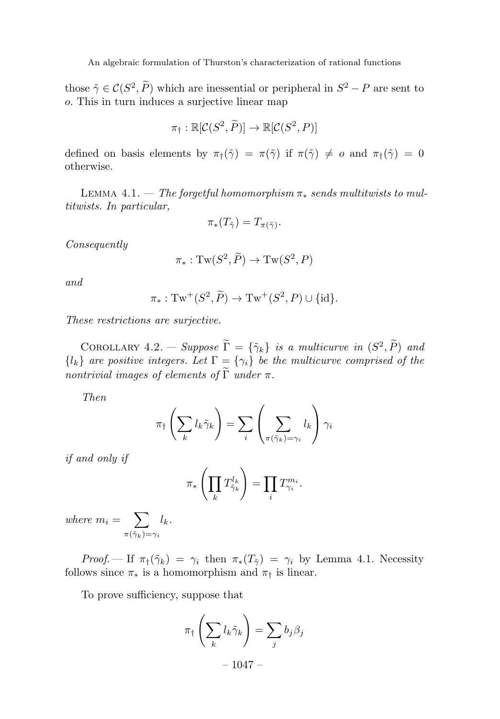those  $\tilde{\gamma} \in \mathcal{C}(S^2, P)$  which are inessential or peripheral in  $S^2 - P$  are sent to o. This in turn induces a surjective linear map

$$
\pi_{\dagger} : \mathbb{R}[\mathcal{C}(S^2, \widetilde{P})] \to \mathbb{R}[\mathcal{C}(S^2, P)]
$$

defined on basis elements by  $\pi_{\dagger}(\tilde{\gamma}) = \pi(\tilde{\gamma})$  if  $\pi(\tilde{\gamma}) \neq o$  and  $\pi_{\dagger}(\tilde{\gamma})=0$ otherwise.

LEMMA 4.1. — The forgetful homomorphism  $\pi_*$  sends multitwists to multitwists. In particular,

$$
\pi_*(T_{\tilde{\gamma}})=T_{\pi(\tilde{\gamma})}.
$$

Consequently

$$
\pi_*: \mathrm{Tw}(S^2, \widetilde{P}) \to \mathrm{Tw}(S^2, P)
$$

and

$$
\pi_*: \operatorname{Tw}^+(S^2, \widetilde{P}) \to \operatorname{Tw}^+(S^2, P) \cup \{\operatorname{id}\}.
$$

These restrictions are surjective.

COROLLARY  $4.2.$  — Suppose  $\Gamma = {\tilde{\gamma}_k}$  is a multicurve in  $(S^2, P)$  and  ${l_k}$  are positive integers. Let  $\Gamma = {\gamma_i}$  be the multicurve comprised of the nontrivial images of elements of  $\Gamma$  under  $\pi$ .

Then

$$
\pi_{\dagger}\left(\sum_{k}l_{k}\tilde{\gamma}_{k}\right)=\sum_{i}\left(\sum_{\pi(\tilde{\gamma}_{k})=\gamma_{i}}l_{k}\right)\gamma_{i}
$$

if and only if

$$
\pi_*\left(\prod_k T_{\tilde{\gamma}_k}^{l_k}\right) = \prod_i T_{\gamma_i}^{m_i}.
$$

where  $m_i = \sum$  $\pi(\tilde{\gamma}_k)$ = $\gamma_i$  $l_k$ .

Proof. — If  $\pi_{\dagger}(\tilde{\gamma}_k) = \gamma_i$  then  $\pi_*(T_{\tilde{\gamma}}) = \gamma_i$  by Lemma 4.1. Necessity follows since  $\pi_*$  is a homomorphism and  $\pi_{\dagger}$  is linear.

To prove sufficiency, suppose that

$$
\pi_{\dagger}\left(\sum_{k}l_{k}\tilde{\gamma}_{k}\right) = \sum_{j}b_{j}\beta_{j}
$$

$$
= 1047 -
$$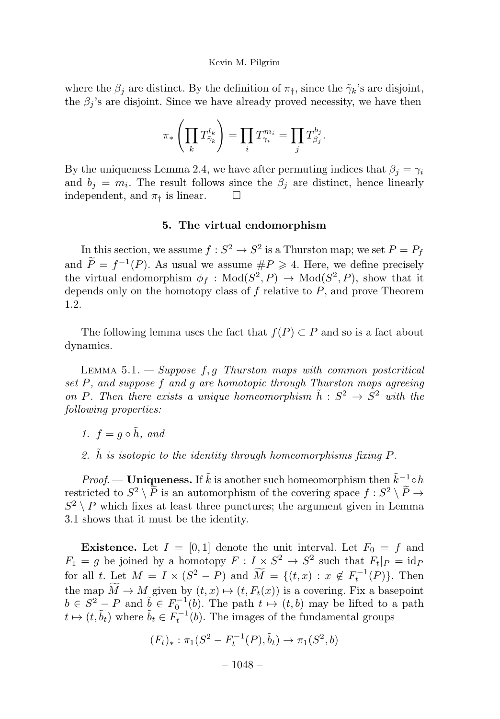where the  $\beta_i$  are distinct. By the definition of  $\pi_{\dagger}$ , since the  $\tilde{\gamma}_k$ 's are disjoint, the  $\beta_i$ 's are disjoint. Since we have already proved necessity, we have then

$$
\pi_*\left(\prod_k T_{\tilde{\gamma}_k}^{l_k}\right)=\prod_i T_{\gamma_i}^{m_i}=\prod_j T_{\beta_j}^{b_j}.
$$

By the uniqueness Lemma 2.4, we have after permuting indices that  $\beta_i = \gamma_i$ and  $b_i = m_i$ . The result follows since the  $\beta_i$  are distinct, hence linearly independent, and  $\pi_{\dagger}$  is linear.  $\square$ 

#### 5. The virtual endomorphism

In this section, we assume  $f : S^2 \to S^2$  is a Thurston map; we set  $P = P_f$ and  $P = f^{-1}(P)$ . As usual we assume  $\#P \geq 4$ . Here, we define precisely the virtual endomorphism  $\phi_f$ : Mod $(S^2, P) \to \text{Mod}(S^2, P)$ , show that it depends only on the homotopy class of  $f$  relative to  $P$ , and prove Theorem 1.2.

The following lemma uses the fact that  $f(P) \subset P$  and so is a fact about dynamics.

LEMMA  $5.1.$  - Suppose  $f, g$  Thurston maps with common postcritical set P, and suppose f and g are homotopic through Thurston maps agreeing on P. Then there exists a unique homeomorphism  $\tilde{h}: S^2 \to S^2$  with the following properties:

- 1.  $f = q \circ \tilde{h}$ , and
- 2.  $\hat{h}$  is isotopic to the identity through homeomorphisms fixing P.

Proof. — Uniqueness. If  $\tilde{k}$  is another such homeomorphism then  $\tilde{k}^{-1} \circ h$ restricted to  $S^2 \setminus P$  is an automorphism of the covering space  $f : S^2 \setminus P \to$  $S^2 \setminus P$  which fixes at least three punctures; the argument given in Lemma 3.1 shows that it must be the identity.

**Existence.** Let  $I = [0, 1]$  denote the unit interval. Let  $F_0 = f$  and  $F_1 = g$  be joined by a homotopy  $F: I \times S^2 \to S^2$  such that  $F_t|_P = id_P$ for all t. Let  $M = I \times (S^2 - P)$  and  $\widetilde{M} = \{(t, x) : x \notin F_t^{-1}(P)\}$ . Then the map  $M \to M$  given by  $(t, x) \mapsto (t, F_t(x))$  is a covering. Fix a basepoint  $b \in S^2 - P$  and  $\tilde{b} \in F_0^{-1}(b)$ . The path  $t \mapsto (t, b)$  may be lifted to a path  $t \mapsto (t, \tilde{b}_t)$  where  $\tilde{b}_t \in \tilde{F}_t^{-1}(b)$ . The images of the fundamental groups

$$
(F_t)_*: \pi_1(S^2 - F_t^{-1}(P), \tilde{b}_t) \to \pi_1(S^2, b)
$$

 $-1048-$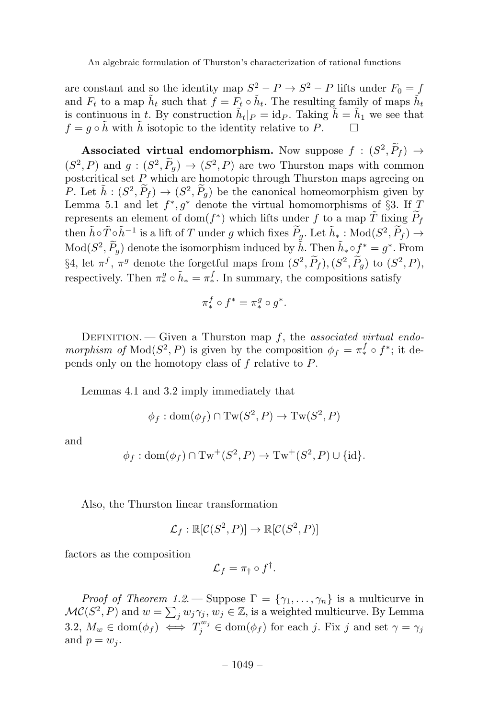are constant and so the identity map  $S^2 - P \rightarrow S^2 - P$  lifts under  $F_0 = f$ and  $F_t$  to a map  $\tilde{h}_t$  such that  $\tilde{f} = \tilde{F}_t \circ \tilde{h}_t$ . The resulting family of maps  $\tilde{h}_t$ is continuous in t. By construction  $\tilde{h}_t|_P = \text{id}_P$ . Taking  $\tilde{h} = \tilde{h}_1$  we see that  $f = a \circ \tilde{h}$  with  $\tilde{h}$  isotopic to the identity relative to  $P$  $f = q \circ \hat{h}$  with  $\hat{h}$  isotopic to the identity relative to P.

Associated virtual endomorphism. Now suppose  $f : (S^2, \tilde{P}_f) \rightarrow$  $(S^2, P)$  and  $g: (S^2, P_g) \to (S^2, P)$  are two Thurston maps with common postcritical set  $\overrightarrow{P}$  which are homotopic through Thurston maps agreeing on P. Let  $\tilde{h} : (S^2, \tilde{P}_f) \to (S^2, \tilde{P}_g)$  be the canonical homeomorphism given by Lemma 5.1 and let  $f^*, g^*$  denote the virtual homomorphisms of §3. If T represents an element of dom( $f^*$ ) which lifts under f to a map  $\tilde{T}$  fixing  $\tilde{P}_f$ then  $\tilde{h} \circ \tilde{T} \circ \tilde{h}^{-1}$  is a lift of T under g which fixes  $\widetilde{P}_g$ . Let  $\tilde{h}_*$ : Mod $(S^2, \widetilde{P}_f) \to$  $\text{Mod}(S^2, \widetilde{P}_g)$  denote the isomorphism induced by  $\tilde{h}$ . Then  $\tilde{h}_* \circ f^* = g^*$ . From §4, let  $\pi^f$ ,  $\pi^g$  denote the forgetful maps from  $(S^2, P_f)$ ,  $(S^2, P_g)$  to  $(S^2, P)$ , respectively. Then  $\pi^g_* \circ \tilde{h}_* = \pi^f_*$ . In summary, the compositions satisfy

$$
\pi_*^f \circ f^* = \pi_*^g \circ g^*.
$$

DEFINITION. — Given a Thurston map  $f$ , the associated virtual endomorphism of  $Mod(S^2, P)$  is given by the composition  $\phi_f = \pi_*^f \circ f^*$ ; it depends only on the homotopy class of f relative to P.

Lemmas 4.1 and 3.2 imply immediately that

$$
\phi_f : \text{dom}(\phi_f) \cap \text{Tw}(S^2, P) \to \text{Tw}(S^2, P)
$$

and

$$
\phi_f: \text{dom}(\phi_f) \cap \text{Tw}^+(S^2, P) \to \text{Tw}^+(S^2, P) \cup \{\text{id}\}.
$$

Also, the Thurston linear transformation

$$
\mathcal{L}_f : \mathbb{R}[\mathcal{C}(S^2, P)] \to \mathbb{R}[\mathcal{C}(S^2, P)]
$$

factors as the composition

$$
\mathcal{L}_f = \pi_\dagger \circ f^\dagger.
$$

*Proof of Theorem 1.2.* — Suppose  $\Gamma = \{\gamma_1, \ldots, \gamma_n\}$  is a multicurve in  $\mathcal{MC}(S^2, P)$  and  $w = \sum_j w_j \gamma_j, w_j \in \mathbb{Z}$ , is a weighted multicurve. By Lemma 3.2,  $M_w \in \text{dom}(\phi_f) \iff T_j^{w_j} \in \text{dom}(\phi_f)$  for each j. Fix j and set  $\gamma = \gamma_j$ and  $p = w_i$ .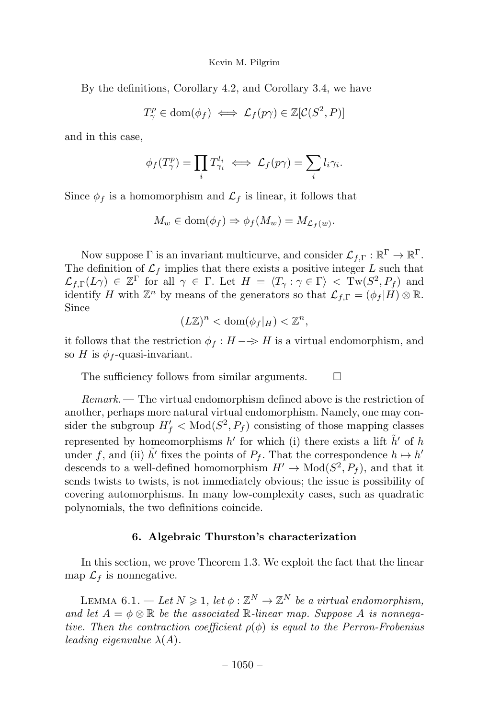By the definitions, Corollary 4.2, and Corollary 3.4, we have

 $T_{\gamma}^p \in \text{dom}(\phi_f) \iff \mathcal{L}_f(p\gamma) \in \mathbb{Z}[\mathcal{C}(S^2, P)]$ 

and in this case,

$$
\phi_f(T_\gamma^p) = \prod_i T_{\gamma_i}^{l_i} \iff \mathcal{L}_f(p\gamma) = \sum_i l_i \gamma_i.
$$

Since  $\phi_f$  is a homomorphism and  $\mathcal{L}_f$  is linear, it follows that

$$
M_w \in \text{dom}(\phi_f) \Rightarrow \phi_f(M_w) = M_{\mathcal{L}_f(w)}.
$$

Now suppose  $\Gamma$  is an invariant multicurve, and consider  $\mathcal{L}_{f,\Gamma}: \mathbb{R}^{\Gamma} \to \mathbb{R}^{\Gamma}$ . The definition of  $\mathcal{L}_f$  implies that there exists a positive integer L such that  $\mathcal{L}_{f,\Gamma}(L\gamma) \in \mathbb{Z}^{\Gamma}$  for all  $\gamma \in \Gamma$ . Let  $H = \langle T_{\gamma} : \gamma \in \Gamma \rangle < \text{Tw}(S^2, P_f)$  and identify H with  $\mathbb{Z}^n$  by means of the generators so that  $\mathcal{L}_{f,\Gamma} = (\phi_f | H) \otimes \mathbb{R}$ . Since

$$
(L\mathbb{Z})^n < \text{dom}(\phi_f|_H) < \mathbb{Z}^n,
$$

it follows that the restriction  $\phi_f : H \longrightarrow H$  is a virtual endomorphism, and so H is  $\phi_f$ -quasi-invariant.

The sufficiency follows from similar arguments.  $\Box$ 

 $Remark.$  The virtual endomorphism defined above is the restriction of another, perhaps more natural virtual endomorphism. Namely, one may consider the subgroup  $H'_f < \text{Mod}(S^2, P_f)$  consisting of those mapping classes represented by homeomorphisms h' for which (i) there exists a lift  $\hat{h}'$  of h under f, and (ii)  $\tilde{h'}$  fixes the points of  $P_f$ . That the correspondence  $h \mapsto h'$ descends to a well-defined homomorphism  $H' \to \text{Mod}(S^2, P_f)$ , and that it sends twists to twists, is not immediately obvious; the issue is possibility of covering automorphisms. In many low-complexity cases, such as quadratic polynomials, the two definitions coincide.

#### 6. Algebraic Thurston's characterization

In this section, we prove Theorem 1.3. We exploit the fact that the linear map  $\mathcal{L}_f$  is nonnegative.

LEMMA 6.1. — Let  $N \geq 1$ , let  $\phi : \mathbb{Z}^N \to \mathbb{Z}^N$  be a virtual endomorphism, and let  $A = \phi \otimes \mathbb{R}$  be the associated  $\mathbb{R}$ -linear map. Suppose A is nonnegative. Then the contraction coefficient  $\rho(\phi)$  is equal to the Perron-Frobenius leading eigenvalue  $\lambda(A)$ .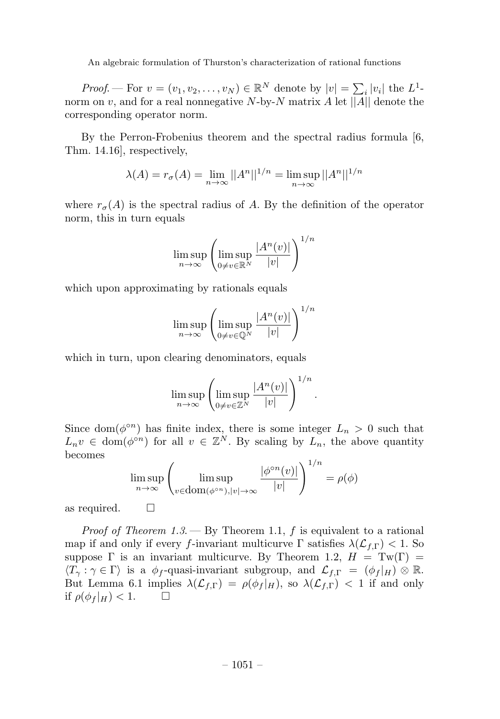*Proof.* — For  $v = (v_1, v_2, \dots, v_N) \in \mathbb{R}^N$  denote by  $|v| = \sum_i |v_i|$  the  $L^1$ norm on v, and for a real nonnegative N-by-N matrix A let  $||A||$  denote the corresponding operator norm.

By the Perron-Frobenius theorem and the spectral radius formula [6, Thm. 14.16], respectively,

$$
\lambda(A) = r_{\sigma}(A) = \lim_{n \to \infty} ||A^n||^{1/n} = \limsup_{n \to \infty} ||A^n||^{1/n}
$$

where  $r_{\sigma}(A)$  is the spectral radius of A. By the definition of the operator norm, this in turn equals

$$
\limsup_{n \to \infty} \left( \limsup_{0 \neq v \in \mathbb{R}^N} \frac{|A^n(v)|}{|v|} \right)^{1/n}
$$

which upon approximating by rationals equals

$$
\limsup_{n \to \infty} \left( \limsup_{0 \neq v \in \mathbb{Q}^N} \frac{|A^n(v)|}{|v|} \right)^{1/n}
$$

which in turn, upon clearing denominators, equals

$$
\limsup_{n\to\infty}\left(\limsup_{0\neq v\in\mathbb{Z}^N}\frac{|A^n(v)|}{|v|}\right)^{1/n}.
$$

Since dom( $\phi^{\circ n}$ ) has finite index, there is some integer  $L_n > 0$  such that  $L_n v \in \text{dom}(\phi^{\circ n})$  for all  $v \in \mathbb{Z}^N$ . By scaling by  $L_n$ , the above quantity becomes <sup>1</sup>/n

$$
\limsup_{n \to \infty} \left( \limsup_{v \in \text{dom}(\phi^{\circ n}), |v| \to \infty} \frac{|\phi^{\circ n}(v)|}{|v|} \right)^{1/n} = \rho(\phi)
$$

as required.  $\square$ 

*Proof of Theorem 1.3.* — By Theorem 1.1, f is equivalent to a rational map if and only if every f-invariant multicurve  $\Gamma$  satisfies  $\lambda(\mathcal{L}_{f,\Gamma}) < 1$ . So suppose  $\Gamma$  is an invariant multicurve. By Theorem 1.2,  $H = \text{Tw}(\Gamma)$  $\langle T_\gamma : \gamma \in \Gamma \rangle$  is a  $\phi_f$ -quasi-invariant subgroup, and  $\mathcal{L}_{f,\Gamma} = (\phi_f|_H) \otimes \mathbb{R}$ . But Lemma 6.1 implies  $\lambda(\mathcal{L}_{f,\Gamma}) = \rho(\phi_f|_H)$ , so  $\lambda(\mathcal{L}_{f,\Gamma}) < 1$  if and only if  $\rho(\phi_f|_H) < 1$ if  $\rho(\phi_f|_H) < 1$ .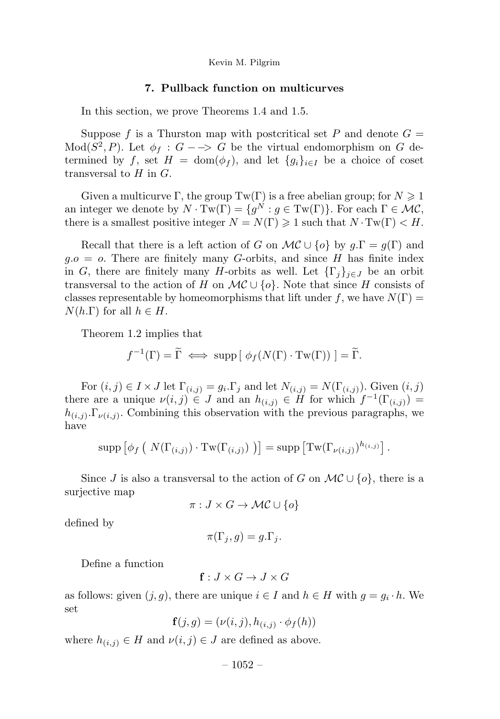#### 7. Pullback function on multicurves

In this section, we prove Theorems 1.4 and 1.5.

Suppose f is a Thurston map with postcritical set P and denote  $G =$  $Mod(S^2, P)$ . Let  $\phi_f : G \longrightarrow G$  be the virtual endomorphism on G determined by f, set  $H = \text{dom}(\phi_f)$ , and let  $\{g_i\}_{i \in I}$  be a choice of coset transversal to  $H$  in  $G$ .

Given a multicurve Γ, the group  $Tw(\Gamma)$  is a free abelian group; for  $N \geq 1$ an integer we denote by  $N \cdot Tw(\Gamma) = \{g^{N} : g \in Tw(\Gamma)\}\.$  For each  $\Gamma \in \mathcal{MC}$ , there is a smallest positive integer  $N = N(\Gamma) \geq 1$  such that  $N \cdot Tw(\Gamma) < H$ .

Recall that there is a left action of G on  $\mathcal{MC} \cup \{o\}$  by  $g.\Gamma = g(\Gamma)$  and  $g.o = o$ . There are finitely many G-orbits, and since H has finite index in G, there are finitely many H-orbits as well. Let  $\{\Gamma_j\}_{j\in J}$  be an orbit transversal to the action of H on  $\mathcal{MC} \cup \{o\}$ . Note that since H consists of classes representable by homeomorphisms that lift under f, we have  $N(\Gamma)$  =  $N(h.\Gamma)$  for all  $h \in H$ .

Theorem 1.2 implies that

$$
f^{-1}(\Gamma) = \widetilde{\Gamma} \iff \text{supp} [\phi_f(N(\Gamma) \cdot \text{Tw}(\Gamma))] = \widetilde{\Gamma}.
$$

For  $(i, j) \in I \times J$  let  $\Gamma_{(i,j)} = g_i \Gamma_j$  and let  $N_{(i,j)} = N(\Gamma_{(i,j)})$ . Given  $(i, j)$ there are a unique  $\nu(i, j) \in J$  and an  $h_{(i,j)} \in H$  for which  $f^{-1}(\Gamma_{(i,j)}) =$  $h_{(i,j)}$ . Combining this observation with the previous paragraphs, we have

$$
\operatorname{supp} \left[ \phi_f \left( N(\Gamma_{(i,j)}) \cdot \operatorname{Tw}(\Gamma_{(i,j)}) \right) \right] = \operatorname{supp} \left[ \operatorname{Tw}(\Gamma_{\nu(i,j)})^{h_{(i,j)}} \right].
$$

Since J is also a transversal to the action of G on  $\mathcal{MC} \cup \{o\}$ , there is a surjective map

$$
\pi: J \times G \to \mathcal{MC} \cup \{o\}
$$

defined by

$$
\pi(\Gamma_j, g) = g.\Gamma_j.
$$

Define a function

$$
\mathbf{f}: J \times G \to J \times G
$$

as follows: given  $(j, g)$ , there are unique  $i \in I$  and  $h \in H$  with  $g = g_i \cdot h$ . We set

$$
\mathbf{f}(j,g) = (\nu(i,j), h_{(i,j)} \cdot \phi_f(h))
$$

where  $h_{(i,j)} \in H$  and  $\nu(i,j) \in J$  are defined as above.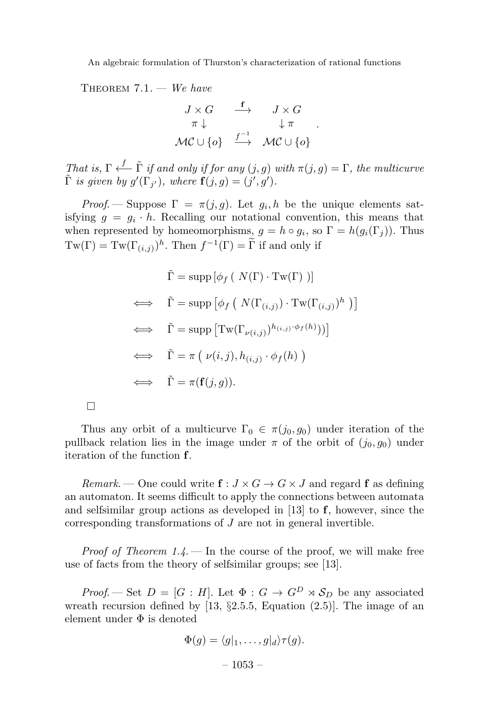THEOREM  $7.1.$  – We have

$$
J \times G \xrightarrow{\mathbf{f}} J \times G
$$
  

$$
\pi \downarrow \qquad \qquad \downarrow \pi
$$
  

$$
\mathcal{MC} \cup \{o\} \xrightarrow{f^{-1}} \mathcal{MC} \cup \{o\}
$$

.

That is,  $\Gamma \stackrel{f}{\longleftarrow} \tilde{\Gamma}$  if and only if for any  $(j, g)$  with  $\pi(j, g) = \Gamma$ , the multicurve  $\tilde{\Gamma}$  is given by  $g'(\Gamma_{j'})$ , where  $\mathbf{f}(j,g)=(j',g')$ .

Proof. — Suppose  $\Gamma = \pi(j, g)$ . Let  $g_i, h$  be the unique elements satisfying  $q = q_i \cdot h$ . Recalling our notational convention, this means that when represented by homeomorphisms,  $g = h \circ g_i$ , so  $\Gamma = h(g_i(\Gamma_j))$ . Thus  $Tw(\Gamma) = Tw(\Gamma_{(i,j)})^h$ . Then  $f^{-1}(\Gamma) = \Gamma$  if and only if

$$
\tilde{\Gamma} = \text{supp} [\phi_f ( N(\Gamma) \cdot \text{Tw}(\Gamma) )]
$$
\n
$$
\iff \tilde{\Gamma} = \text{supp} [\phi_f ( N(\Gamma_{(i,j)}) \cdot \text{Tw}(\Gamma_{(i,j)})^h )]
$$
\n
$$
\iff \tilde{\Gamma} = \text{supp} [\text{Tw}(\Gamma_{\nu(i,j)})^{h_{(i,j)} \cdot \phi_f(h)})]
$$
\n
$$
\iff \tilde{\Gamma} = \pi (\nu(i,j), h_{(i,j)} \cdot \phi_f(h))
$$
\n
$$
\iff \tilde{\Gamma} = \pi(\mathbf{f}(j,g)).
$$

 $\Box$ 

Thus any orbit of a multicurve  $\Gamma_0 \in \pi(j_0, g_0)$  under iteration of the pullback relation lies in the image under  $\pi$  of the orbit of  $(j_0, g_0)$  under iteration of the function f.

Remark. — One could write  $f: J \times G \to G \times J$  and regard f as defining an automaton. It seems difficult to apply the connections between automata and selfsimilar group actions as developed in [13] to  $f$ , however, since the corresponding transformations of J are not in general invertible.

*Proof of Theorem 1.4.* – In the course of the proof, we will make free use of facts from the theory of selfsimilar groups; see [13].

*Proof.* — Set  $D = [G : H]$ . Let  $\Phi : G \to G^D \rtimes \mathcal{S}_D$  be any associated wreath recursion defined by [13,  $\S2.5.5$ , Equation (2.5)]. The image of an element under Φ is denoted

$$
\Phi(g) = \langle g|_1, \dots, g|_d \rangle \tau(g).
$$

 $-1053-$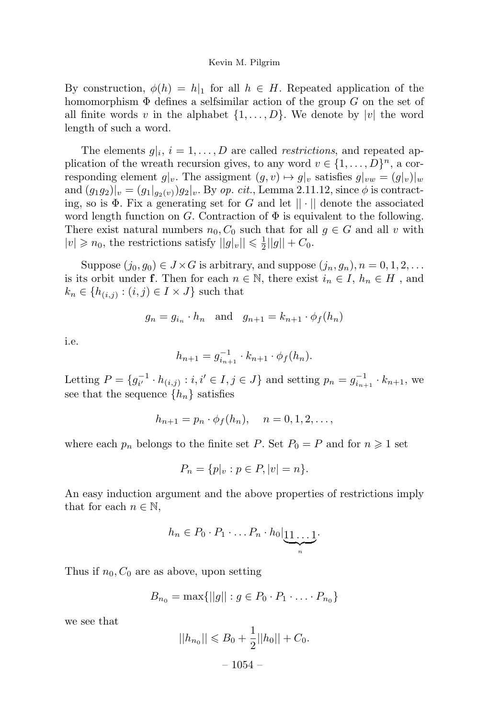By construction,  $\phi(h) = h|_1$  for all  $h \in H$ . Repeated application of the homomorphism  $\Phi$  defines a selfsimilar action of the group G on the set of all finite words v in the alphabet  $\{1,\ldots,D\}$ . We denote by |v| the word length of such a word.

The elements  $g|_i$ ,  $i = 1, \ldots, D$  are called *restrictions*, and repeated application of the wreath recursion gives, to any word  $v \in \{1, \ldots, D\}^n$ , a corresponding element  $g|_v$ . The assigment  $(g, v) \mapsto g|_v$  satisfies  $g|_{vw} = (g|_v)|_w$ and  $(g_1g_2)|_v = (g_1|_{g_2(v)})g_2|_v$ . By op. cit., Lemma 2.11.12, since  $\phi$  is contracting, so is  $\Phi$ . Fix a generating set for G and let  $|| \cdot ||$  denote the associated word length function on G. Contraction of  $\Phi$  is equivalent to the following. There exist natural numbers  $n_0, C_0$  such that for all  $g \in G$  and all v with  $|v| \geq n_0$ , the restrictions satisfy  $||g|_v|| \leq \frac{1}{2}||g|| + C_0$ .

Suppose  $(j_0, g_0) \in J \times G$  is arbitrary, and suppose  $(j_n, g_n)$ ,  $n = 0, 1, 2, \ldots$ is its orbit under f. Then for each  $n \in \mathbb{N}$ , there exist  $i_n \in I$ ,  $h_n \in H$ , and  $k_n \in \{h_{(i,j)} : (i,j) \in I \times J\}$  such that

$$
g_n = g_{i_n} \cdot h_n \quad \text{and} \quad g_{n+1} = k_{n+1} \cdot \phi_f(h_n)
$$

i.e.

$$
h_{n+1} = g_{i_{n+1}}^{-1} \cdot k_{n+1} \cdot \phi_f(h_n).
$$

Letting  $P = \{g_{i'}^{-1} \cdot h_{(i,j)} : i, i' \in I, j \in J\}$  and setting  $p_n = g_{i_{n+1}}^{-1} \cdot k_{n+1}$ , we see that the sequence  $\{h_n\}$  satisfies

$$
h_{n+1} = p_n \cdot \phi_f(h_n), \quad n = 0, 1, 2, \dots,
$$

where each  $p_n$  belongs to the finite set P. Set  $P_0 = P$  and for  $n \geq 1$  set

$$
P_n = \{p|_v : p \in P, |v| = n\}.
$$

An easy induction argument and the above properties of restrictions imply that for each  $n \in \mathbb{N}$ ,

$$
h_n \in P_0 \cdot P_1 \cdot \ldots P_n \cdot h_0 \Big| \underbrace{11 \ldots 1}_{n} \cdot
$$

Thus if  $n_0, C_0$  are as above, upon setting

$$
B_{n_0} = \max\{||g|| : g \in P_0 \cdot P_1 \cdot \ldots \cdot P_{n_0}\}\
$$

we see that

$$
||h_{n_0}|| \leq B_0 + \frac{1}{2}||h_0|| + C_0.
$$
  
- 1054 -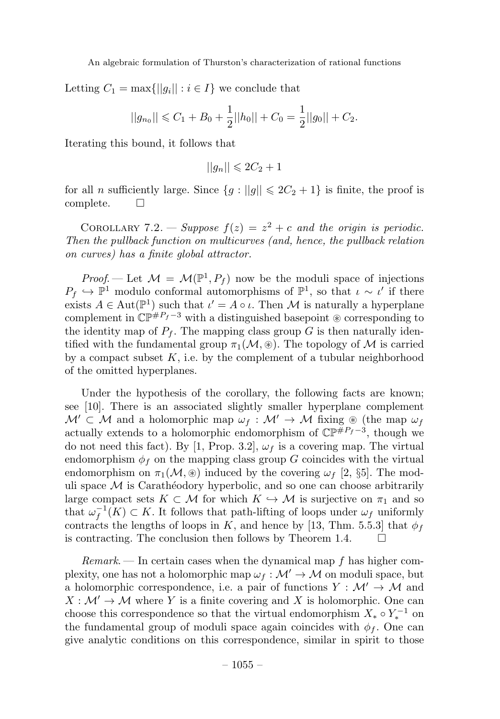Letting  $C_1 = \max\{||g_i|| : i \in I\}$  we conclude that

$$
||g_{n_0}|| \leq C_1 + B_0 + \frac{1}{2}||h_0|| + C_0 = \frac{1}{2}||g_0|| + C_2.
$$

Iterating this bound, it follows that

$$
||g_n|| \leq 2C_2 + 1
$$

for all *n* sufficiently large. Since  $\{g : ||g|| \leq 2C_2 + 1\}$  is finite, the proof is complete.

COROLLARY 7.2. — Suppose  $f(z) = z^2 + c$  and the origin is periodic. Then the pullback function on multicurves (and, hence, the pullback relation on curves) has a finite global attractor.

Proof. — Let  $\mathcal{M} = \mathcal{M}(\mathbb{P}^1, P_f)$  now be the moduli space of injections  $P_f \hookrightarrow \mathbb{P}^1$  modulo conformal automorphisms of  $\mathbb{P}^1$ , so that  $\iota \sim \iota'$  if there exists  $A \in \text{Aut}(\mathbb{P}^1)$  such that  $\iota' = A \circ \iota$ . Then M is naturally a hyperplane complement in  $\mathbb{CP}^{\#P_f-3}$  with a distinguished basepoint  $\circledast$  corresponding to the identity map of  $P_f$ . The mapping class group G is then naturally identified with the fundamental group  $\pi_1(\mathcal{M}, \mathcal{B})$ . The topology of M is carried by a compact subset  $K$ , i.e. by the complement of a tubular neighborhood of the omitted hyperplanes.

Under the hypothesis of the corollary, the following facts are known; see [10]. There is an associated slightly smaller hyperplane complement  $\mathcal{M}' \subset \mathcal{M}$  and a holomorphic map  $\omega_f : \mathcal{M}' \to \mathcal{M}$  fixing  $\circledast$  (the map  $\omega_f$ actually extends to a holomorphic endomorphism of  $\mathbb{CP}^{\#P_f-3}$ , though we do not need this fact). By [1, Prop. 3.2],  $\omega_f$  is a covering map. The virtual endomorphism  $\phi_f$  on the mapping class group G coincides with the virtual endomorphism on  $\pi_1(\mathcal{M}, \mathcal{B})$  induced by the covering  $\omega_f$  [2, §5]. The moduli space  $M$  is Carathéodory hyperbolic, and so one can choose arbitrarily large compact sets  $K \subset \mathcal{M}$  for which  $K \hookrightarrow \mathcal{M}$  is surjective on  $\pi_1$  and so that  $\omega_f^{-1}(K) \subset K$ . It follows that path-lifting of loops under  $\omega_f$  uniformly contracts the lengths of loops in K, and hence by [13, Thm. 5.5.3] that  $\phi_f$ is contracting. The conclusion then follows by Theorem 1.4.  $\Box$ 

 $Remark.$  In certain cases when the dynamical map f has higher complexity, one has not a holomorphic map  $\omega_f : \mathcal{M}' \to \mathcal{M}$  on moduli space, but a holomorphic correspondence, i.e. a pair of functions  $Y : \mathcal{M}' \to \mathcal{M}$  and  $X : \mathcal{M}' \to \mathcal{M}$  where Y is a finite covering and X is holomorphic. One can choose this correspondence so that the virtual endomorphism  $X_* \circ Y_*^{-1}$  on the fundamental group of moduli space again coincides with  $\phi_f$ . One can give analytic conditions on this correspondence, similar in spirit to those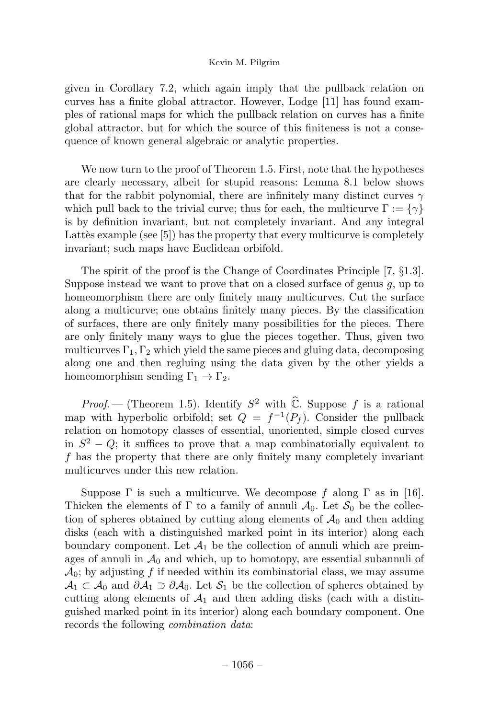given in Corollary 7.2, which again imply that the pullback relation on curves has a finite global attractor. However, Lodge [11] has found examples of rational maps for which the pullback relation on curves has a finite global attractor, but for which the source of this finiteness is not a consequence of known general algebraic or analytic properties.

We now turn to the proof of Theorem 1.5. First, note that the hypotheses are clearly necessary, albeit for stupid reasons: Lemma 8.1 below shows that for the rabbit polynomial, there are infinitely many distinct curves  $\gamma$ which pull back to the trivial curve; thus for each, the multicurve  $\Gamma := \{ \gamma \}$ is by definition invariant, but not completely invariant. And any integral Lattès example (see  $[5]$ ) has the property that every multicurve is completely invariant; such maps have Euclidean orbifold.

The spirit of the proof is the Change of Coordinates Principle  $[7, \S1.3]$ . Suppose instead we want to prove that on a closed surface of genus  $g$ , up to homeomorphism there are only finitely many multicurves. Cut the surface along a multicurve; one obtains finitely many pieces. By the classification of surfaces, there are only finitely many possibilities for the pieces. There are only finitely many ways to glue the pieces together. Thus, given two multicurves  $\Gamma_1, \Gamma_2$  which yield the same pieces and gluing data, decomposing along one and then regluing using the data given by the other yields a homeomorphism sending  $\Gamma_1 \rightarrow \Gamma_2$ .

*Proof.* — (Theorem 1.5). Identify  $S^2$  with  $\hat{\mathbb{C}}$ . Suppose f is a rational map with hyperbolic orbifold; set  $Q = f^{-1}(P_f)$ . Consider the pullback relation on homotopy classes of essential, unoriented, simple closed curves in  $S^2 - Q$ ; it suffices to prove that a map combinatorially equivalent to f has the property that there are only finitely many completely invariant multicurves under this new relation.

Suppose  $\Gamma$  is such a multicurve. We decompose f along  $\Gamma$  as in [16]. Thicken the elements of  $\Gamma$  to a family of annuli  $\mathcal{A}_0$ . Let  $\mathcal{S}_0$  be the collection of spheres obtained by cutting along elements of  $A_0$  and then adding disks (each with a distinguished marked point in its interior) along each boundary component. Let  $\mathcal{A}_1$  be the collection of annuli which are preimages of annuli in  $\mathcal{A}_0$  and which, up to homotopy, are essential subannuli of  $\mathcal{A}_0$ ; by adjusting f if needed within its combinatorial class, we may assume  $\mathcal{A}_1 \subset \mathcal{A}_0$  and  $\partial \mathcal{A}_1 \supset \partial \mathcal{A}_0$ . Let  $\mathcal{S}_1$  be the collection of spheres obtained by cutting along elements of  $\mathcal{A}_1$  and then adding disks (each with a distinguished marked point in its interior) along each boundary component. One records the following *combination data*: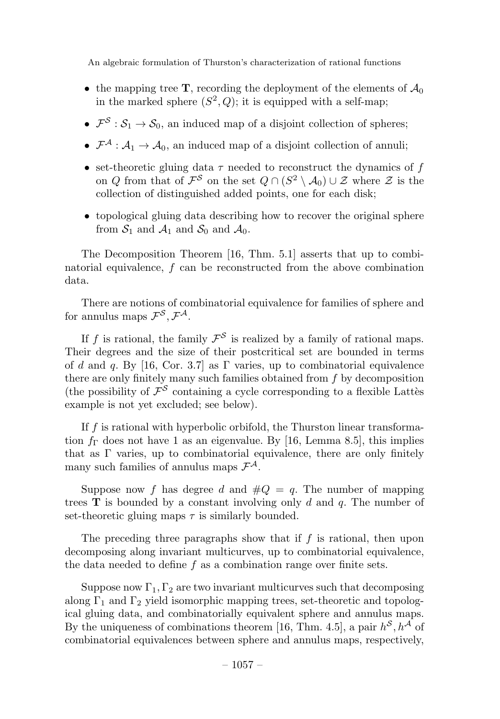- the mapping tree **T**, recording the deployment of the elements of  $\mathcal{A}_0$ in the marked sphere  $(S^2, Q)$ ; it is equipped with a self-map;
- $\mathcal{F}^{\mathcal{S}} : \mathcal{S}_1 \to \mathcal{S}_0$ , an induced map of a disjoint collection of spheres;
- $\mathcal{F}^{\mathcal{A}}: \mathcal{A}_1 \to \mathcal{A}_0$ , an induced map of a disjoint collection of annuli;
- set-theoretic gluing data  $\tau$  needed to reconstruct the dynamics of f on Q from that of  $\mathcal{F}^S$  on the set  $Q \cap (S^2 \setminus \mathcal{A}_0) \cup \mathcal{Z}$  where  $\mathcal Z$  is the collection of distinguished added points, one for each disk;
- topological gluing data describing how to recover the original sphere from  $S_1$  and  $A_1$  and  $S_0$  and  $A_0$ .

The Decomposition Theorem [16, Thm. 5.1] asserts that up to combinatorial equivalence, f can be reconstructed from the above combination data.

There are notions of combinatorial equivalence for families of sphere and for annulus maps  $\mathcal{F}^{\mathcal{S}}, \mathcal{F}^{\mathcal{A}}$ .

If f is rational, the family  $\mathcal{F}^{\mathcal{S}}$  is realized by a family of rational maps. Their degrees and the size of their postcritical set are bounded in terms of d and q. By [16, Cor. 3.7] as  $\Gamma$  varies, up to combinatorial equivalence there are only finitely many such families obtained from  $f$  by decomposition (the possibility of  $\mathcal{F}^{\mathcal{S}}$  containing a cycle corresponding to a flexible Lattès example is not yet excluded; see below).

If f is rational with hyperbolic orbifold, the Thurston linear transformation  $f_{\Gamma}$  does not have 1 as an eigenvalue. By [16, Lemma 8.5], this implies that as  $\Gamma$  varies, up to combinatorial equivalence, there are only finitely many such families of annulus maps  $\mathcal{F}^{\mathcal{A}}$ .

Suppose now f has degree d and  $\#Q = q$ . The number of mapping trees  $\bf{T}$  is bounded by a constant involving only d and q. The number of set-theoretic gluing maps  $\tau$  is similarly bounded.

The preceding three paragraphs show that if  $f$  is rational, then upon decomposing along invariant multicurves, up to combinatorial equivalence, the data needed to define  $f$  as a combination range over finite sets.

Suppose now  $\Gamma_1, \Gamma_2$  are two invariant multicurves such that decomposing along  $\Gamma_1$  and  $\Gamma_2$  yield isomorphic mapping trees, set-theoretic and topological gluing data, and combinatorially equivalent sphere and annulus maps. By the uniqueness of combinations theorem [16, Thm. 4.5], a pair  $h^{\mathcal{S}}, h^{\mathcal{A}}$  of combinatorial equivalences between sphere and annulus maps, respectively,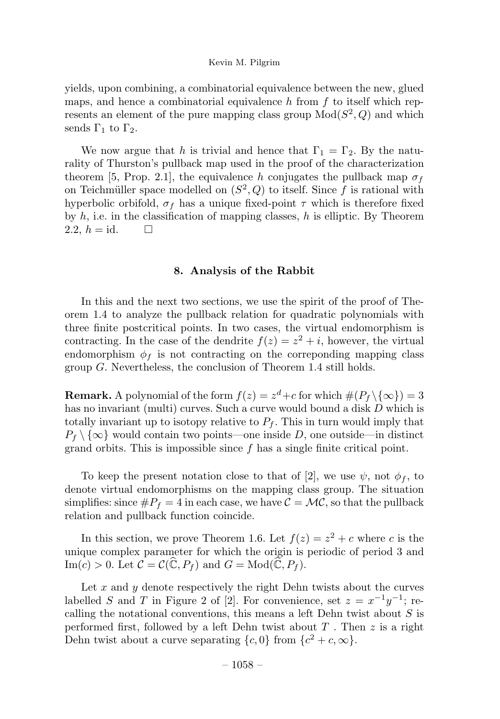yields, upon combining, a combinatorial equivalence between the new, glued maps, and hence a combinatorial equivalence h from  $f$  to itself which represents an element of the pure mapping class group  $Mod(S^2, Q)$  and which sends  $\Gamma_1$  to  $\Gamma_2$ .

We now argue that h is trivial and hence that  $\Gamma_1 = \Gamma_2$ . By the naturality of Thurston's pullback map used in the proof of the characterization theorem [5, Prop. 2.1], the equivalence h conjugates the pullback map  $\sigma_f$ on Teichmüller space modelled on  $(S^2, Q)$  to itself. Since f is rational with hyperbolic orbifold,  $\sigma_f$  has a unique fixed-point  $\tau$  which is therefore fixed by  $h$ , i.e. in the classification of mapping classes,  $h$  is elliptic. By Theorem 2.2,  $h = id$ .  $\Box$ 

#### 8. Analysis of the Rabbit

In this and the next two sections, we use the spirit of the proof of Theorem 1.4 to analyze the pullback relation for quadratic polynomials with three finite postcritical points. In two cases, the virtual endomorphism is contracting. In the case of the dendrite  $f(z) = z^2 + i$ , however, the virtual endomorphism  $\phi_f$  is not contracting on the correponding mapping class group  $G$ . Nevertheless, the conclusion of Theorem 1.4 still holds.

**Remark.** A polynomial of the form  $f(z) = z^d + c$  for which  $\#(P_f \setminus \{\infty\})=3$ has no invariant (multi) curves. Such a curve would bound a disk D which is totally invariant up to isotopy relative to  $P_f$ . This in turn would imply that  $P_f \setminus \{\infty\}$  would contain two points—one inside D, one outside—in distinct grand orbits. This is impossible since  $f$  has a single finite critical point.

To keep the present notation close to that of [2], we use  $\psi$ , not  $\phi_f$ , to denote virtual endomorphisms on the mapping class group. The situation simplifies: since  $\#P_f = 4$  in each case, we have  $\mathcal{C} = \mathcal{MC}$ , so that the pullback relation and pullback function coincide.

In this section, we prove Theorem 1.6. Let  $f(z) = z^2 + c$  where c is the unique complex parameter for which the origin is periodic of period 3 and  $\text{Im}(c) > 0$ . Let  $\mathcal{C} = \mathcal{C}(\widehat{\mathbb{C}}, P_f)$  and  $G = \text{Mod}(\widehat{\mathbb{C}}, P_f)$ .

Let  $x$  and  $y$  denote respectively the right Dehn twists about the curves labelled S and T in Figure 2 of [2]. For convenience, set  $z = x^{-1}y^{-1}$ ; recalling the notational conventions, this means a left Dehn twist about  $S$  is performed first, followed by a left Dehn twist about  $T$ . Then  $z$  is a right Dehn twist about a curve separating  $\{c, 0\}$  from  $\{c^2+c, \infty\}.$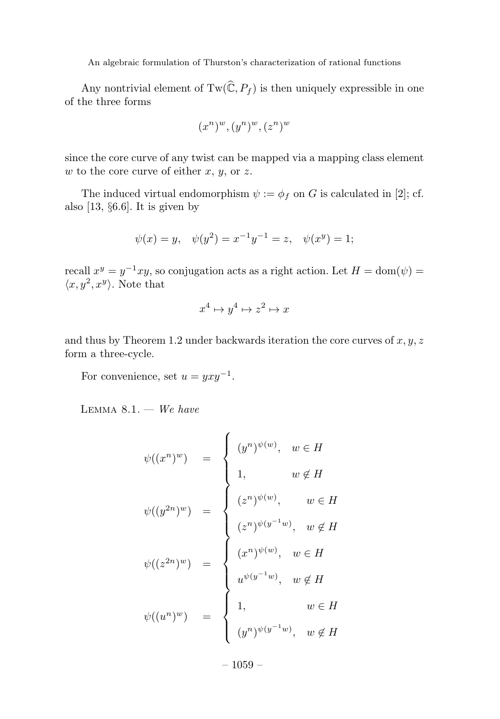Any nontrivial element of  $Tw(\widehat{\mathbb{C}}, P_f)$  is then uniquely expressible in one of the three forms

$$
(x^n)^w, (y^n)^w, (z^n)^w
$$

since the core curve of any twist can be mapped via a mapping class element  $w$  to the core curve of either  $x, y$ , or  $z$ .

The induced virtual endomorphism  $\psi := \phi_f$  on G is calculated in [2]; cf. also  $[13, §6.6]$ . It is given by

$$
\psi(x) = y, \quad \psi(y^2) = x^{-1}y^{-1} = z, \quad \psi(x^y) = 1;
$$

recall  $x^y = y^{-1}xy$ , so conjugation acts as a right action. Let  $H = \text{dom}(\psi) =$  $\langle x, y^2, x^y \rangle$ . Note that

$$
x^4 \mapsto y^4 \mapsto z^2 \mapsto x
$$

and thus by Theorem 1.2 under backwards iteration the core curves of  $x, y, z$ form a three-cycle.

For convenience, set  $u = yxy^{-1}$ .

LEMMA  $8.1. -$  We have

$$
\psi((x^n)^w) = \begin{cases}\n(y^n)^{\psi(w)}, & w \in H \\
1, & w \notin H\n\end{cases}
$$
  

$$
\psi((y^{2n})^w) = \begin{cases}\n(z^n)^{\psi(w)}, & w \in H \\
(z^n)^{\psi(w)}, & w \in H\n\end{cases}
$$
  

$$
\psi((z^{2n})^w) = \begin{cases}\n(x^n)^{\psi(w)}, & w \in H \\
u^{\psi(y^{-1}w)}, & w \notin H\n\end{cases}
$$
  

$$
\psi((u^n)^w) = \begin{cases}\n1, & w \in H \\
(y^n)^{\psi(y^{-1}w)}, & w \notin H\n\end{cases}
$$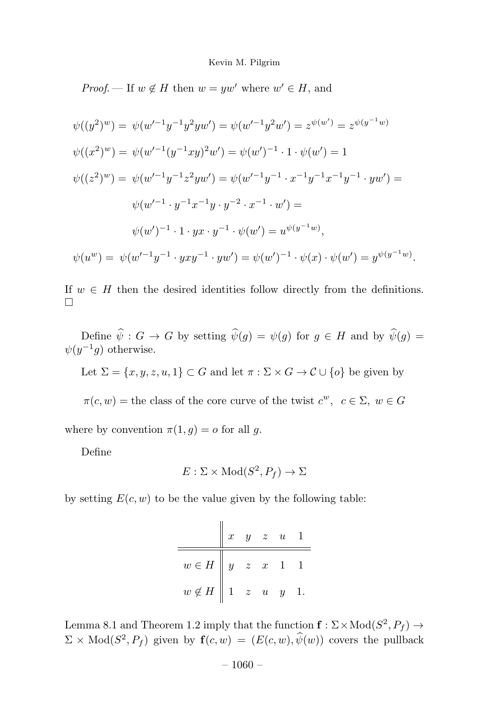*Proof.* — If  $w \notin H$  then  $w = yw'$  where  $w' \in H$ , and

$$
\psi((y^2)^w) = \psi(w'^{-1}y^{-1}y^2yw') = \psi(w'^{-1}y^2w') = z^{\psi(w')} = z^{\psi(y^{-1}w)}
$$
  

$$
\psi((x^2)^w) = \psi(w'^{-1}(y^{-1}xy)^2w') = \psi(w')^{-1} \cdot 1 \cdot \psi(w') = 1
$$
  

$$
\psi((z^2)^w) = \psi(w'^{-1}y^{-1}z^2yw') = \psi(w'^{-1}y^{-1} \cdot x^{-1}y^{-1}x^{-1}y^{-1} \cdot yw') =
$$
  

$$
\psi(w'^{-1} \cdot y^{-1}x^{-1}y \cdot y^{-2} \cdot x^{-1} \cdot w') =
$$
  

$$
\psi(w')^{-1} \cdot 1 \cdot yx \cdot y^{-1} \cdot \psi(w') = u^{\psi(y^{-1}w)},
$$
  

$$
\psi(u^w) = \psi(w'^{-1}y^{-1} \cdot yxy^{-1} \cdot yw') = \psi(w')^{-1} \cdot \psi(x) \cdot \psi(w') = y^{\psi(y^{-1}w)}.
$$

If  $w \in H$  then the desired identities follow directly from the definitions.  $\Box$ 

Define  $\hat{\psi}: G \to G$  by setting  $\hat{\psi}(g) = \psi(g)$  for  $g \in H$  and by  $\hat{\psi}(g) =$  $\psi(y^{-1}g)$  otherwise.

Let  $\Sigma = \{x, y, z, u, 1\} \subset G$  and let  $\pi : \Sigma \times G \to C \cup \{o\}$  be given by

 $\pi(c, w) =$  the class of the core curve of the twist  $c^w$ ,  $c \in \Sigma$ ,  $w \in G$ 

where by convention  $\pi(1, g) = o$  for all g.

Define

$$
E: \Sigma \times \text{Mod}(S^2, P_f) \to \Sigma
$$

by setting  $E(c, w)$  to be the value given by the following table:

|                                                       | $\boldsymbol{x}$ |  | $y \quad z \quad u \quad 1$ |  |
|-------------------------------------------------------|------------------|--|-----------------------------|--|
| $w \in H \parallel y \quad z \quad x \quad 1 \quad 1$ |                  |  |                             |  |
| $w \notin H$ 1 $z$ $u$ $y$ 1.                         |                  |  |                             |  |

Lemma 8.1 and Theorem 1.2 imply that the function  $f : \Sigma \times Mod(S^2, P_f) \rightarrow$  $\Sigma \times \text{Mod}(S^2, P_f)$  given by  $\mathbf{f}(c, w)=(E(c, w), \hat{\psi}(w))$  covers the pullback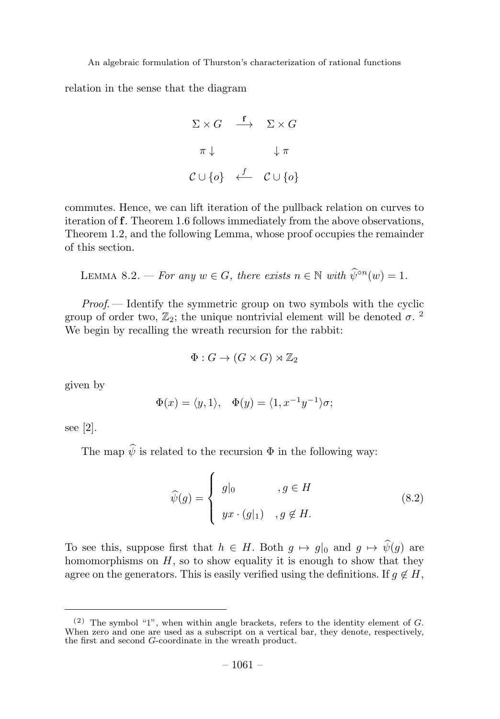relation in the sense that the diagram

$$
\Sigma \times G \xrightarrow{f} \Sigma \times G
$$
  

$$
\pi \downarrow \qquad \qquad \downarrow \pi
$$
  

$$
C \cup \{o\} \xleftarrow{f} C \cup \{o\}
$$

commutes. Hence, we can lift iteration of the pullback relation on curves to iteration of f. Theorem 1.6 follows immediately from the above observations, Theorem 1.2, and the following Lemma, whose proof occupies the remainder of this section.

LEMMA 8.2. — For any  $w \in G$ , there exists  $n \in \mathbb{N}$  with  $\widehat{\psi}^{\circ n}(w)=1$ .

Proof. — Identify the symmetric group on two symbols with the cyclic group of order two,  $\mathbb{Z}_2$ ; the unique nontrivial element will be denoted  $\sigma$ . <sup>2</sup> We begin by recalling the wreath recursion for the rabbit:

$$
\Phi: G \to (G \times G) \rtimes \mathbb{Z}_2
$$

given by

$$
\Phi(x) = \langle y, 1 \rangle, \quad \Phi(y) = \langle 1, x^{-1}y^{-1} \rangle \sigma;
$$

see [2].

The map  $\hat{\psi}$  is related to the recursion  $\Phi$  in the following way:

$$
\widehat{\psi}(g) = \begin{cases}\ng|_0, & g \in H \\
yx \cdot (g|_1), & g \notin H.\n\end{cases}
$$
\n(8.2)

To see this, suppose first that  $h \in H$ . Both  $g \mapsto g|_0$  and  $g \mapsto \hat{\psi}(g)$  are homomorphisms on  $H$ , so to show equality it is enough to show that they agree on the generators. This is easily verified using the definitions. If  $g \notin H$ ,

 $(2)$  The symbol "1", when within angle brackets, refers to the identity element of G. When zero and one are used as a subscript on a vertical bar, they denote, respectively, the first and second G-coordinate in the wreath product.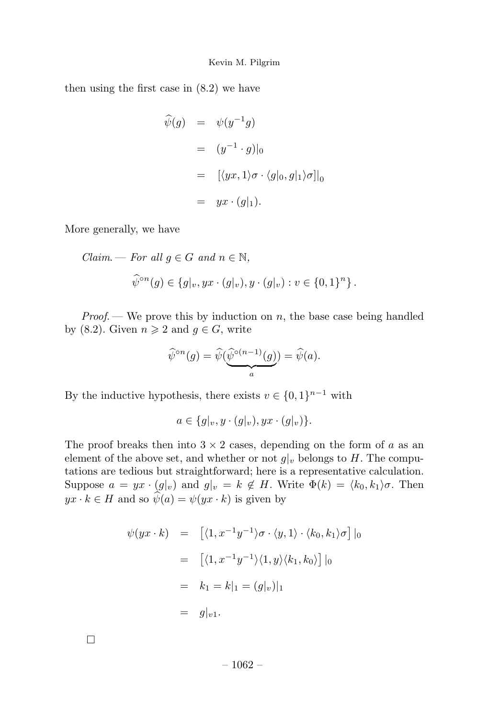then using the first case in (8.2) we have

$$
\hat{\psi}(g) = \psi(y^{-1}g)
$$
\n
$$
= (y^{-1} \cdot g)|_0
$$
\n
$$
= [(\psi x, 1)\sigma \cdot \langle g|_0, g|_1 \rangle \sigma]|_0
$$
\n
$$
= yx \cdot (g|_1).
$$

More generally, we have

 $Claim. - For all  $g \in G$  and  $n \in \mathbb{N}$ ,$  $\widehat{\psi}^{\circ n}(g) \in \{g|_v, yx \cdot (g|_v), y \cdot (g|_v) : v \in \{0,1\}^n\}.$ 

*Proof.* — We prove this by induction on  $n$ , the base case being handled by (8.2). Given  $n \geq 2$  and  $g \in G$ , write

$$
\widehat{\psi}^{\circ n}(g) = \widehat{\psi}(\underbrace{\widehat{\psi}^{\circ (n-1)}(g)}_{a}) = \widehat{\psi}(a).
$$

By the inductive hypothesis, there exists  $v \in \{0, 1\}^{n-1}$  with

$$
a\in \{g|_v, y\cdot (g|_v), yx\cdot (g|_v)\}.
$$

The proof breaks then into  $3 \times 2$  cases, depending on the form of a as an element of the above set, and whether or not  $g|_v$  belongs to H. The computations are tedious but straightforward; here is a representative calculation. Suppose  $a = yx \cdot (g|_v)$  and  $g|_v = k \notin H$ . Write  $\Phi(k) = \langle k_0, k_1 \rangle \sigma$ . Then  $yx \cdot k \in H$  and so  $\hat{\psi}(a) = \psi(yx \cdot k)$  is given by

$$
\psi(yx \cdot k) = [ \langle 1, x^{-1}y^{-1} \rangle \sigma \cdot \langle y, 1 \rangle \cdot \langle k_0, k_1 \rangle \sigma ] |_{0}
$$
  
\n
$$
= [ \langle 1, x^{-1}y^{-1} \rangle \langle 1, y \rangle \langle k_1, k_0 \rangle ] |_{0}
$$
  
\n
$$
= k_1 = k|_{1} = (g|_{v})|_{1}
$$
  
\n
$$
= g|_{v1}.
$$

 $\Box$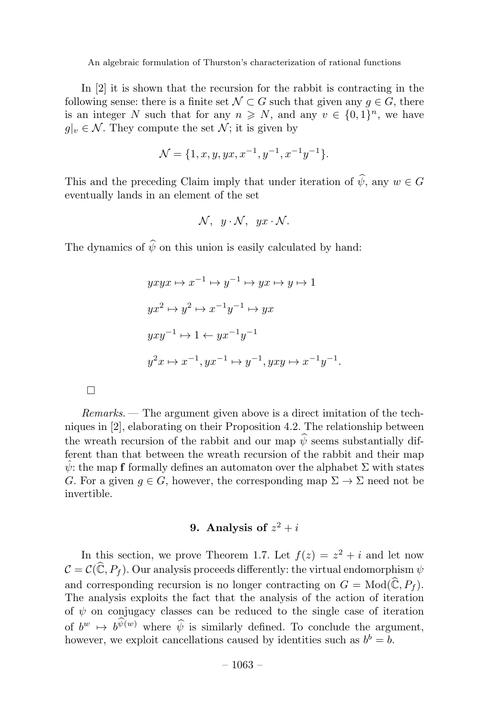In [2] it is shown that the recursion for the rabbit is contracting in the following sense: there is a finite set  $\mathcal{N} \subset G$  such that given any  $g \in G$ , there is an integer N such that for any  $n \geq N$ , and any  $v \in \{0, 1\}^n$ , we have  $g|_v \in \mathcal{N}$ . They compute the set  $\mathcal{N}$ ; it is given by

$$
\mathcal{N} = \{1, x, y, yx, x^{-1}, y^{-1}, x^{-1}y^{-1}\}.
$$

This and the preceding Claim imply that under iteration of  $\hat{\psi}$ , any  $w \in G$ eventually lands in an element of the set

$$
\mathcal{N}, y \cdot \mathcal{N}, yx \cdot \mathcal{N}.
$$

The dynamics of  $\hat{\psi}$  on this union is easily calculated by hand:

$$
yxyx \mapsto x^{-1} \mapsto y^{-1} \mapsto yx \mapsto y \mapsto 1
$$
  

$$
yx^2 \mapsto y^2 \mapsto x^{-1}y^{-1} \mapsto yx
$$
  

$$
yxy^{-1} \mapsto 1 \leftarrow yx^{-1}y^{-1}
$$
  

$$
y^2x \mapsto x^{-1}, yx^{-1} \mapsto y^{-1}, yxy \mapsto x^{-1}y^{-1}.
$$

 $Remarks.$  The argument given above is a direct imitation of the techniques in [2], elaborating on their Proposition 4.2. The relationship between the wreath recursion of the rabbit and our map  $\hat{\psi}$  seems substantially different than that between the wreath recursion of the rabbit and their map  $\hat{\psi}$ : the map f formally defines an automaton over the alphabet  $\Sigma$  with states G. For a given  $q \in G$ , however, the corresponding map  $\Sigma \to \Sigma$  need not be invertible.

## 9. Analysis of  $z^2 + i$

In this section, we prove Theorem 1.7. Let  $f(z) = z^2 + i$  and let now  $\mathcal{C} = \mathcal{C}(\widehat{\mathbb{C}}, P_f)$ . Our analysis proceeds differently: the virtual endomorphism  $\psi$ and corresponding recursion is no longer contracting on  $G = Mod(\widehat{\mathbb{C}}, P_f)$ . The analysis exploits the fact that the analysis of the action of iteration of  $\psi$  on conjugacy classes can be reduced to the single case of iteration of  $b^w \mapsto b^{\widehat{\psi}(w)}$  where  $\widehat{\psi}$  is similarly defined. To conclude the argument, however, we exploit cancellations caused by identities such as  $b^b = b$ .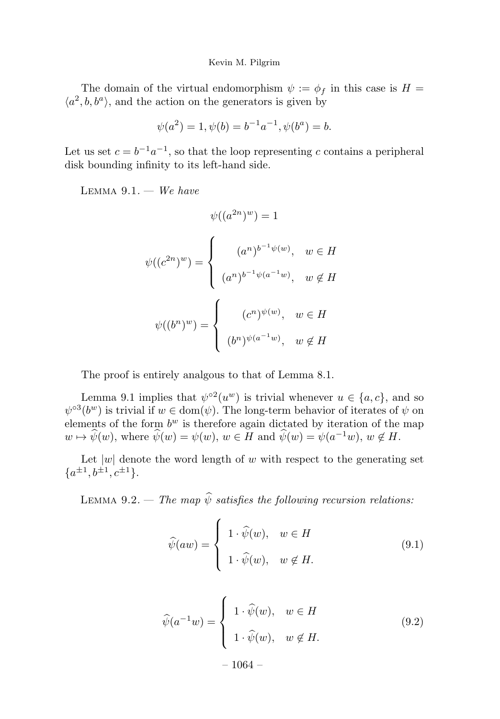The domain of the virtual endomorphism  $\psi := \phi_f$  in this case is  $H =$  $\langle a^2, b, b^a \rangle$ , and the action on the generators is given by

$$
\psi(a^2) = 1, \psi(b) = b^{-1}a^{-1}, \psi(b^a) = b.
$$

Let us set  $c = b^{-1}a^{-1}$ , so that the loop representing c contains a peripheral disk bounding infinity to its left-hand side.

LEMMA  $9.1. -$  We have

$$
\psi((a^{2n})^w) = 1
$$

$$
\psi((c^{2n})^w) = \begin{cases} (a^n)^{b^{-1}\psi(w)}, & w \in H \\ (a^n)^{b^{-1}\psi(a^{-1}w)}, & w \notin H \end{cases}
$$

$$
\psi((b^n)^w) = \begin{cases} (c^n)^{\psi(w)}, & w \in H \\ (b^n)^{\psi(a^{-1}w)}, & w \notin H \end{cases}
$$

The proof is entirely analgous to that of Lemma 8.1.

Lemma 9.1 implies that  $\psi^{\circ 2}(u^w)$  is trivial whenever  $u \in \{a, c\}$ , and so  $\psi^{\circ3}(b^w)$  is trivial if  $w \in \text{dom}(\psi)$ . The long-term behavior of iterates of  $\psi$  on elements of the form  $b^w$  is therefore again dictated by iteration of the map  $w \mapsto \widehat{\psi}(w)$ , where  $\widehat{\psi}(w) = \psi(w)$ ,  $w \in H$  and  $\widehat{\psi}(w) = \psi(a^{-1}w)$ ,  $w \notin H$ .

Let  $|w|$  denote the word length of w with respect to the generating set  ${a^{\pm 1}, b^{\pm 1}, c^{\pm 1}}.$ 

LEMMA 9.2. — The map  $\hat{\psi}$  satisfies the following recursion relations:

$$
\widehat{\psi}(aw) = \begin{cases}\n1 \cdot \widehat{\psi}(w), & w \in H \\
1 \cdot \widehat{\psi}(w), & w \notin H.\n\end{cases} \tag{9.1}
$$

$$
\widehat{\psi}(a^{-1}w) = \begin{cases}\n1 \cdot \widehat{\psi}(w), & w \in H \\
1 \cdot \widehat{\psi}(w), & w \notin H.\n\end{cases}
$$
\n(9.2)\n
$$
-1064 -
$$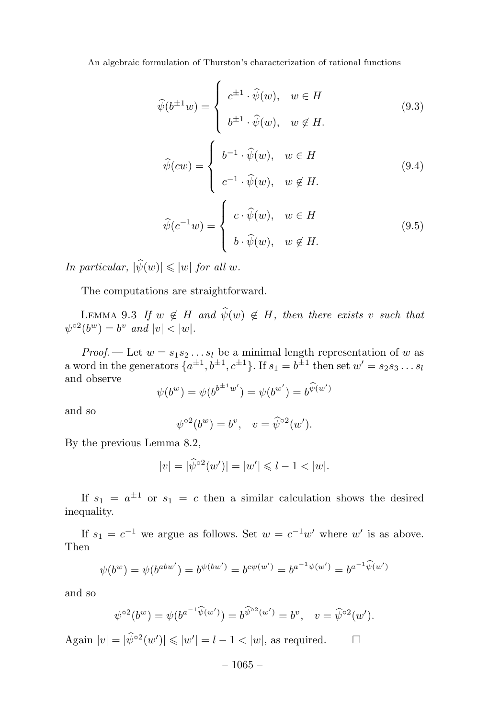$$
\widehat{\psi}(b^{\pm 1}w) = \begin{cases}\nc^{\pm 1} \cdot \widehat{\psi}(w), & w \in H \\
b^{\pm 1} \cdot \widehat{\psi}(w), & w \notin H.\n\end{cases}
$$
\n(9.3)\n
$$
\widehat{\psi}(cw) = \begin{cases}\nb^{-1} \cdot \widehat{\psi}(w), & w \in H\n\end{cases}
$$
\n(9.4)

$$
\begin{cases}\n c^{-1} \cdot \widehat{\psi}(w), & w \notin H.\n\end{cases}
$$
\n
$$
\widehat{\psi}(c^{-1}w) = \begin{cases}\n c \cdot \widehat{\psi}(w), & w \in H \\
 b \cdot \widehat{\psi}(w), & w \notin H.\n\end{cases}
$$
\n(9.5)

In particular,  $|\psi(w)| \leqslant |w|$  for all w.

The computations are straightforward.

LEMMA 9.3 If  $w \notin H$  and  $\widehat{\psi}(w) \notin H$ , then there exists v such that  $\psi^{\circ 2}(b^w) = b^v$  and  $|v| < |w|$ .

*Proof.* — Let  $w = s_1 s_2 \dots s_l$  be a minimal length representation of w as a word in the generators  $\{a^{\pm 1}, b^{\pm 1}, c^{\pm 1}\}\$ . If  $s_1 = b^{\pm 1}$  then set  $w' = s_2 s_3 \dots s_l$ and observe

$$
\psi(b^w) = \psi(b^{b^{\pm 1}w'}) = \psi(b^{w'}) = b^{\widehat{\psi}(w')}
$$

and so

$$
\psi^{\circ 2}(b^w) = b^v, \quad v = \widehat{\psi}^{\circ 2}(w').
$$

By the previous Lemma 8.2,

$$
|v| = |\widehat{\psi}^{\circ 2}(w')| = |w'| \leq 1 - 1 < |w|.
$$

If  $s_1 = a^{\pm 1}$  or  $s_1 = c$  then a similar calculation shows the desired inequality.

If  $s_1 = c^{-1}$  we argue as follows. Set  $w = c^{-1}w'$  where w' is as above. Then

$$
\psi(b^w) = \psi(b^{abw'}) = b^{\psi(bw')} = b^{c\psi(w')} = b^{a^{-1}\psi(w')} = b^{a^{-1}\widehat{\psi}(w')}
$$

and so

$$
\psi^{\circ 2}(b^w) = \psi(b^{a^{-1}\widehat{\psi}(w')}) = b^{\widehat{\psi}^{\circ 2}(w')} = b^v, \quad v = \widehat{\psi}^{\circ 2}(w').
$$

Again  $|v| = |\hat{\psi}^{\circ 2}(w')| \leq |w'| = l - 1 < |w|$ , as required.  $\Box$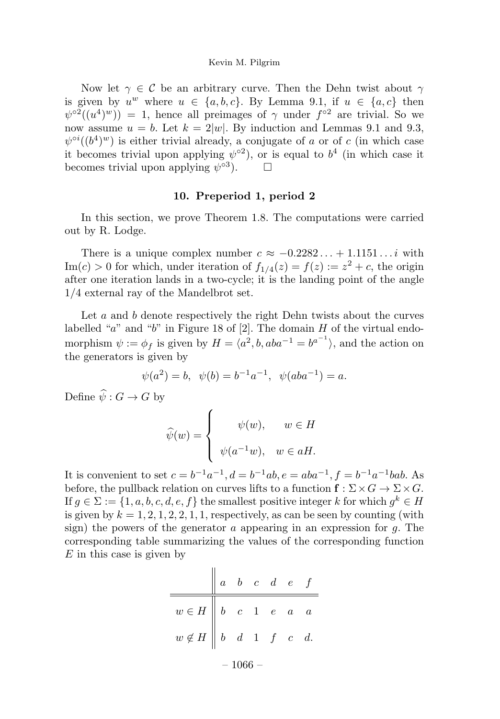Now let  $\gamma \in \mathcal{C}$  be an arbitrary curve. Then the Dehn twist about  $\gamma$ is given by  $u^w$  where  $u \in \{a, b, c\}$ . By Lemma 9.1, if  $u \in \{a, c\}$  then  $\psi^{\circ 2}((u^4)^w) = 1$ , hence all preimages of  $\gamma$  under  $f^{\circ 2}$  are trivial. So we now assume  $u = b$ . Let  $k = 2|w|$ . By induction and Lemmas 9.1 and 9.3,  $\psi^{\circ i}((b^4)^w)$  is either trivial already, a conjugate of a or of c (in which case it becomes trivial upon applying  $\psi^{\circ 2}$ ), or is equal to  $b^4$  (in which case it becomes trivial upon applying  $\psi^{\circ 3}$ .

#### 10. Preperiod 1, period 2

In this section, we prove Theorem 1.8. The computations were carried out by R. Lodge.

There is a unique complex number  $c \approx -0.2282... + 1.1151...i$  with  $\text{Im}(c) > 0$  for which, under iteration of  $f_{1/4}(z) = f(z) := z^2 + c$ , the origin after one iteration lands in a two-cycle; it is the landing point of the angle  $1/4$  external ray of the Mandelbrot set.

Let a and b denote respectively the right Dehn twists about the curves labelled "a" and "b" in Figure 18 of [2]. The domain  $H$  of the virtual endomorphism  $\psi := \phi_f$  is given by  $H = \langle a^2, b, aba^{-1} = b^{a^{-1}} \rangle$ , and the action on the generators is given by

$$
\psi(a^2) = b, \ \psi(b) = b^{-1}a^{-1}, \ \psi(aba^{-1}) = a.
$$

Define  $\widehat{\psi}: G \to G$  by

$$
\widehat{\psi}(w) = \begin{cases}\n\psi(w), & w \in H \\
\psi(a^{-1}w), & w \in aH.\n\end{cases}
$$

It is convenient to set  $c = b^{-1}a^{-1}$ ,  $d = b^{-1}ab$ ,  $e = aba^{-1}$ ,  $f = b^{-1}a^{-1}bab$ . As before, the pullback relation on curves lifts to a function  $f : \Sigma \times G \to \Sigma \times G$ . If  $q \in \Sigma := \{1, a, b, c, d, e, f\}$  the smallest positive integer k for which  $q^k \in H$ is given by  $k = 1, 2, 1, 2, 2, 1, 1$ , respectively, as can be seen by counting (with sign) the powers of the generator  $\alpha$  appearing in an expression for  $q$ . The corresponding table summarizing the values of the corresponding function  $E$  in this case is given by

|                                                                          |  |  |  |  |  | $a \quad b \quad c \quad d \quad e \quad f$ |  |  |
|--------------------------------------------------------------------------|--|--|--|--|--|---------------------------------------------|--|--|
| $w \in H$ $\begin{array}{ c c c c c } b & c & 1 & e & a & a \end{array}$ |  |  |  |  |  |                                             |  |  |
| $w\not\in H\ \left\ \ b\ \ d\ \ 1\ \ f\ \ c\ \ d.$                       |  |  |  |  |  |                                             |  |  |
| $-1066-$                                                                 |  |  |  |  |  |                                             |  |  |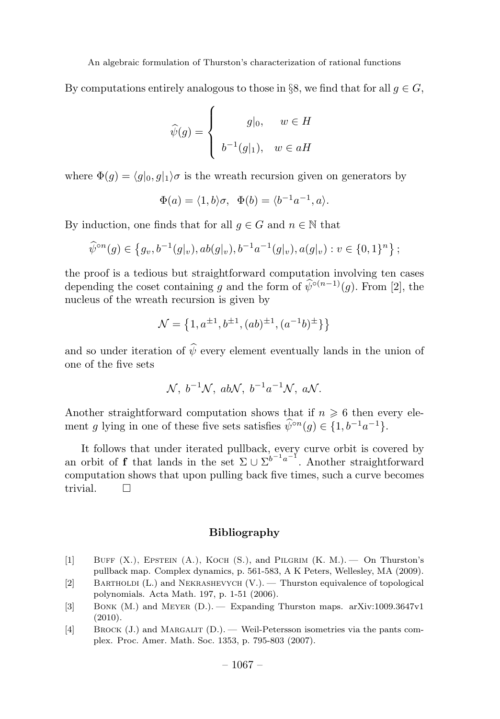By computations entirely analogous to those in §8, we find that for all  $g \in G$ ,

$$
\widehat{\psi}(g) = \begin{cases}\n\qquad & w \in H \\
b^{-1}(g|_1), & w \in aH\n\end{cases}
$$

where  $\Phi(q) = \langle q|_0, q|_1 \rangle \sigma$  is the wreath recursion given on generators by

$$
\Phi(a) = \langle 1, b \rangle \sigma, \quad \Phi(b) = \langle b^{-1} a^{-1}, a \rangle.
$$

By induction, one finds that for all  $q \in G$  and  $n \in \mathbb{N}$  that

$$
\widehat{\psi}^{\circ n}(g) \in \left\{ g_v, b^{-1}(g|_v), ab(g|_v), b^{-1}a^{-1}(g|_v), a(g|_v) : v \in \{0,1\}^n \right\};
$$

the proofis a tedious but straightforward computation involving ten cases depending the coset containing g and the form of  $\hat{\psi}^{\circ(n-1)}(q)$ . From [2], the nucleus of the wreath recursion is given by

$$
\mathcal{N} = \left\{ 1, a^{\pm 1}, b^{\pm 1}, (ab)^{\pm 1}, (a^{-1}b)^{\pm} \right\} \}
$$

and so under iteration of  $\widehat{\psi}$  every element eventually lands in the union of one of the five sets

$$
\mathcal{N}, b^{-1}\mathcal{N}, ab\mathcal{N}, b^{-1}a^{-1}\mathcal{N}, a\mathcal{N}.
$$

Another straightforward computation shows that if  $n \geq 6$  then every element g lying in one of these five sets satisfies  $\hat{\psi}^{\circ n}(g) \in \{1, b^{-1}a^{-1}\}.$ 

It follows that under iterated pullback, every curve orbit is covered by an orbit of **f** that lands in the set  $\Sigma \cup \Sigma^{b^{-1}a^{-1}}$ . Another straightforward computation shows that upon pulling back five times, such a curve becomes trivial. □

#### Bibliography

- [1] BUFF  $(X)$ , EPSTEIN  $(A)$ , KOCH  $(S)$ , and PILGRIM  $(K, M)$ .  $\rightarrow$  On Thurston's pullback map. Complex dynamics, p. 561-583, A K Peters, Wellesley, MA (2009).
- [2] Bartholdi (L.) and Nekrashevych (V.). —Thurston equivalence of topological polynomials. Acta Math. 197, p. 1-51 (2006).
- [3] Bonk (M.) and Meyer (D.). —Expanding Thurston maps. arXiv:1009.3647v1 (2010).
- [4] Brock (J.) and Margalit (D.). —Weil-Petersson isometries via the pants complex. Proc. Amer. Math. Soc. 1353, p. 795-803 (2007).